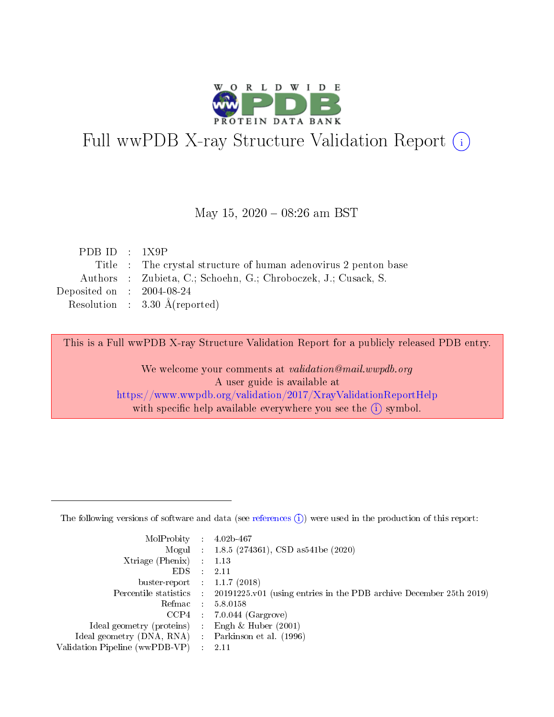

# Full wwPDB X-ray Structure Validation Report (i)

#### May 15,  $2020 - 08:26$  am BST

| PDB ID : $1X9P$             |                                                                 |
|-----------------------------|-----------------------------------------------------------------|
|                             | Title : The crystal structure of human adenovirus 2 penton base |
|                             | Authors : Zubieta, C.; Schoehn, G.; Chroboczek, J.; Cusack, S.  |
| Deposited on : $2004-08-24$ |                                                                 |
|                             | Resolution : $3.30 \text{ Å}$ (reported)                        |
|                             |                                                                 |

This is a Full wwPDB X-ray Structure Validation Report for a publicly released PDB entry.

We welcome your comments at validation@mail.wwpdb.org A user guide is available at <https://www.wwpdb.org/validation/2017/XrayValidationReportHelp> with specific help available everywhere you see the  $(i)$  symbol.

The following versions of software and data (see [references](https://www.wwpdb.org/validation/2017/XrayValidationReportHelp#references)  $(1)$ ) were used in the production of this report:

| $MolProbability$ 4.02b-467                          |               |                                                                                            |
|-----------------------------------------------------|---------------|--------------------------------------------------------------------------------------------|
|                                                     |               | Mogul : 1.8.5 (274361), CSD as 541be (2020)                                                |
| $Xtriangle (Phenix)$ : 1.13                         |               |                                                                                            |
| EDS -                                               | $\mathcal{L}$ | 2.11                                                                                       |
| buster-report : $1.1.7(2018)$                       |               |                                                                                            |
|                                                     |               | Percentile statistics : 20191225.v01 (using entries in the PDB archive December 25th 2019) |
| Refmac $5.8.0158$                                   |               |                                                                                            |
|                                                     |               | $CCP4$ : 7.0.044 (Gargrove)                                                                |
| Ideal geometry (proteins) :                         |               | Engh $\&$ Huber (2001)                                                                     |
| Ideal geometry (DNA, RNA) : Parkinson et al. (1996) |               |                                                                                            |
| Validation Pipeline (wwPDB-VP) : 2.11               |               |                                                                                            |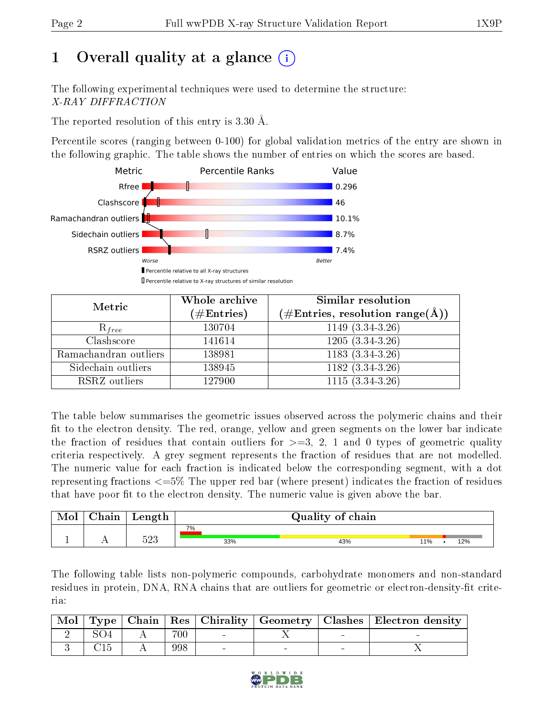# 1 [O](https://www.wwpdb.org/validation/2017/XrayValidationReportHelp#overall_quality)verall quality at a glance  $(i)$

The following experimental techniques were used to determine the structure: X-RAY DIFFRACTION

The reported resolution of this entry is 3.30 Å.

Percentile scores (ranging between 0-100) for global validation metrics of the entry are shown in the following graphic. The table shows the number of entries on which the scores are based.



| Metric                | Whole archive<br>$(\#\mathrm{Entries})$ | Similar resolution<br>$(\#\text{Entries},\, \text{resolution}\; \text{range}(\textup{\AA}))$ |
|-----------------------|-----------------------------------------|----------------------------------------------------------------------------------------------|
| $R_{free}$            | 130704                                  | $1149(3.34-3.26)$                                                                            |
| Clashscore            | 141614                                  | $1205(3.34-3.26)$                                                                            |
| Ramachandran outliers | 138981                                  | $1183(3.34-3.26)$                                                                            |
| Sidechain outliers    | 138945                                  | $1182(3.34-3.26)$                                                                            |
| RSRZ outliers         | 127900                                  | $1115(3.34-3.26)$                                                                            |

The table below summarises the geometric issues observed across the polymeric chains and their fit to the electron density. The red, orange, yellow and green segments on the lower bar indicate the fraction of residues that contain outliers for  $\geq=3$ , 2, 1 and 0 types of geometric quality criteria respectively. A grey segment represents the fraction of residues that are not modelled. The numeric value for each fraction is indicated below the corresponding segment, with a dot representing fractions  $\epsilon=5\%$  The upper red bar (where present) indicates the fraction of residues that have poor fit to the electron density. The numeric value is given above the bar.

| $\cap$ hain | Length |           | Quality of chain |     |     |  |  |  |
|-------------|--------|-----------|------------------|-----|-----|--|--|--|
|             | につつ    | 7%<br>33% | 43%              | 11% | 12% |  |  |  |
|             | ن∠ن    |           |                  |     |     |  |  |  |

The following table lists non-polymeric compounds, carbohydrate monomers and non-standard residues in protein, DNA, RNA chains that are outliers for geometric or electron-density-fit criteria:

| $\mid$ Mol $\mid$ |  |     |  | Type   Chain   Res   Chirality   Geometry   Clashes   Electron density |
|-------------------|--|-----|--|------------------------------------------------------------------------|
|                   |  | 700 |  |                                                                        |
|                   |  | 998 |  |                                                                        |

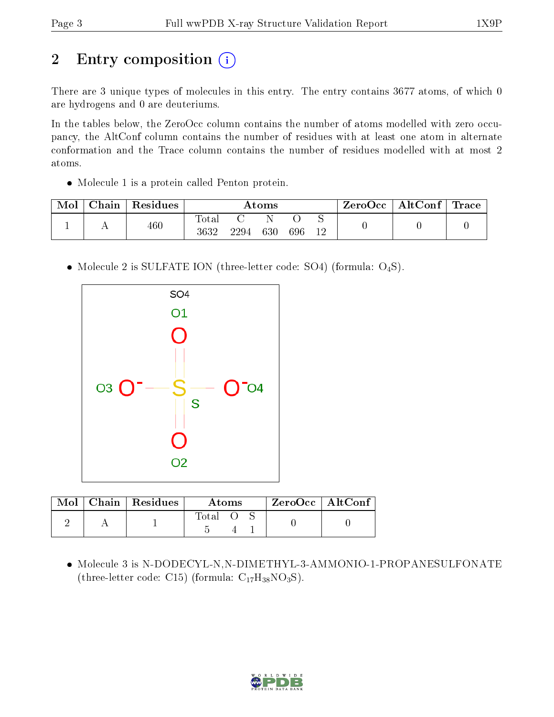# 2 Entry composition (i)

There are 3 unique types of molecules in this entry. The entry contains 3677 atoms, of which 0 are hydrogens and 0 are deuteriums.

In the tables below, the ZeroOcc column contains the number of atoms modelled with zero occupancy, the AltConf column contains the number of residues with at least one atom in alternate conformation and the Trace column contains the number of residues modelled with at most 2 atoms.

Molecule 1 is a protein called Penton protein.

| Mol | Chain | Residues | $\rm{Atoms}$        |      |     |     |   | ZeroOcc | $\mid$ AltConf $\mid$ | Trace |
|-----|-------|----------|---------------------|------|-----|-----|---|---------|-----------------------|-------|
|     |       | 460      | $\rm Total$<br>3632 | 2294 | 630 | 696 | ∼ |         |                       |       |

• Molecule 2 is SULFATE ION (three-letter code: SO4) (formula: O<sub>4</sub>S).



| Mol | $\Box$ Chain   Residues | Atoms |  |  | $ZeroOcc$   AltConf |  |
|-----|-------------------------|-------|--|--|---------------------|--|
|     |                         | Total |  |  |                     |  |

 Molecule 3 is N-DODECYL-N,N-DIMETHYL-3-AMMONIO-1-PROPANESULFONATE (three-letter code: C15) (formula:  $C_{17}H_{38}NO_3S$ ).

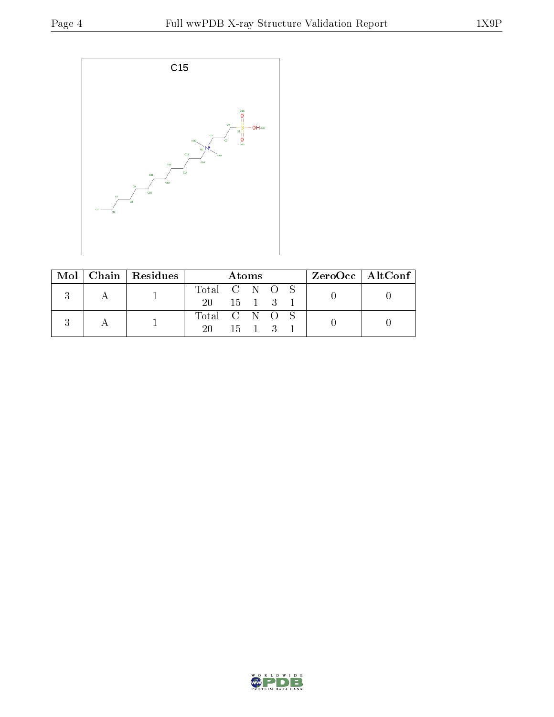

|  | Mol   Chain   Residues | Atoms                |  |  | ZeroOcc   AltConf |  |  |  |
|--|------------------------|----------------------|--|--|-------------------|--|--|--|
|  |                        | Total C N O S        |  |  |                   |  |  |  |
|  |                        | 20 15 1 3 1          |  |  |                   |  |  |  |
|  |                        | Total C N O S        |  |  |                   |  |  |  |
|  |                        | $20 \t 15 \t 1 \t 3$ |  |  |                   |  |  |  |

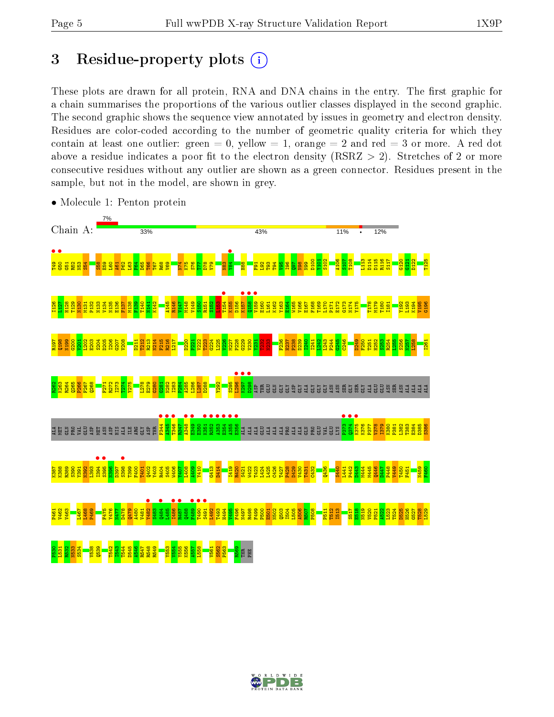## 3 Residue-property plots  $(i)$

These plots are drawn for all protein, RNA and DNA chains in the entry. The first graphic for a chain summarises the proportions of the various outlier classes displayed in the second graphic. The second graphic shows the sequence view annotated by issues in geometry and electron density. Residues are color-coded according to the number of geometric quality criteria for which they contain at least one outlier: green  $= 0$ , yellow  $= 1$ , orange  $= 2$  and red  $= 3$  or more. A red dot above a residue indicates a poor fit to the electron density (RSRZ  $> 2$ ). Stretches of 2 or more consecutive residues without any outlier are shown as a green connector. Residues present in the sample, but not in the model, are shown in grey.



• Molecule 1: Penton protein

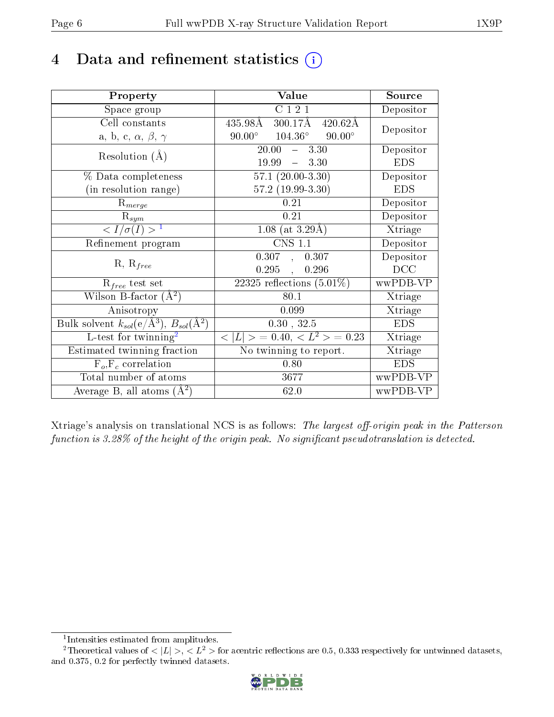# 4 Data and refinement statistics  $(i)$

| Property                                                         | Value                                               | Source     |
|------------------------------------------------------------------|-----------------------------------------------------|------------|
| Space group                                                      | C121                                                | Depositor  |
| Cell constants                                                   | $300.17\text{\AA}$<br>435.98Å<br>$420.62\text{\AA}$ | Depositor  |
| a, b, c, $\alpha$ , $\beta$ , $\gamma$                           | $90.00^{\circ}$ $104.36^{\circ}$<br>$90.00^\circ$   |            |
| Resolution $(A)$                                                 | 20.00<br>$-3.30$                                    | Depositor  |
|                                                                  | $-3.30$<br>19.99                                    | <b>EDS</b> |
| % Data completeness                                              | $57.1(20.00-3.30)$                                  | Depositor  |
| (in resolution range)                                            | $57.2(19.99-3.30)$                                  | <b>EDS</b> |
| $R_{merge}$                                                      | 0.21                                                | Depositor  |
| $\mathrm{R}_{sym}$                                               | 0.21                                                | Depositor  |
| $\langle I/\sigma(I) \rangle^{-1}$                               | 1.08 (at $3.29\text{\AA}$ )                         | Xtriage    |
| Refinement program                                               | $\overline{\text{CNS} 1.1}$                         | Depositor  |
|                                                                  | 0.307, 0.307                                        | Depositor  |
| $R, R_{free}$                                                    | $0.295$ ,<br>0.296                                  | DCC        |
| $R_{free}$ test set                                              | 22325 reflections $(5.01\%)$                        | wwPDB-VP   |
| Wilson B-factor $(A^2)$                                          | 80.1                                                | Xtriage    |
| Anisotropy                                                       | 0.099                                               | Xtriage    |
| Bulk solvent $k_{sol}(\text{e}/\text{A}^3), B_{sol}(\text{A}^2)$ | 0.30, 32.5                                          | <b>EDS</b> |
| L-test for $\mathrm{twinning}^2$                                 | $< L >$ = 0.40, $< L2 >$ = 0.23                     | Xtriage    |
| Estimated twinning fraction                                      | No twinning to report.                              | Xtriage    |
| $\overline{F_o}, \overline{F_c}$ correlation                     | 0.80                                                | <b>EDS</b> |
| Total number of atoms                                            | 3677                                                | wwPDB-VP   |
| Average B, all atoms $(A^2)$                                     | 62.0                                                | wwPDB-VP   |

Xtriage's analysis on translational NCS is as follows: The largest off-origin peak in the Patterson function is  $3.28\%$  of the height of the origin peak. No significant pseudotranslation is detected.

<sup>&</sup>lt;sup>2</sup>Theoretical values of  $\langle |L| \rangle$ ,  $\langle L^2 \rangle$  for acentric reflections are 0.5, 0.333 respectively for untwinned datasets, and 0.375, 0.2 for perfectly twinned datasets.



<span id="page-5-1"></span><span id="page-5-0"></span><sup>1</sup> Intensities estimated from amplitudes.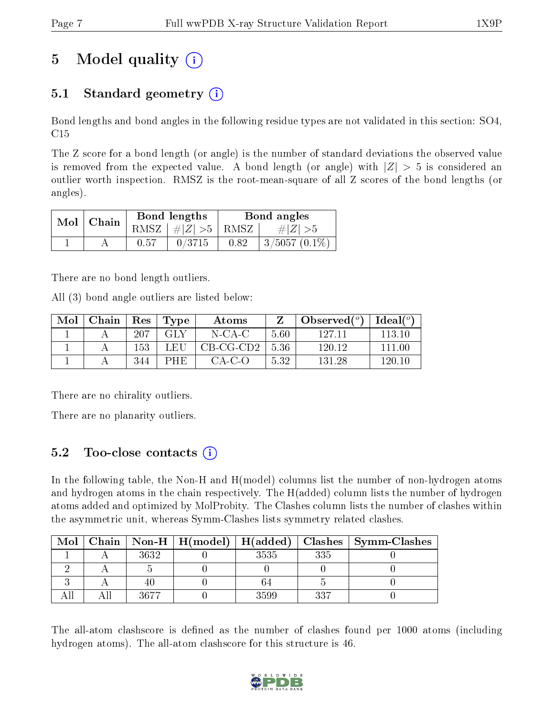# 5 Model quality  $(i)$

### 5.1 Standard geometry  $(i)$

Bond lengths and bond angles in the following residue types are not validated in this section: SO4, C15

The Z score for a bond length (or angle) is the number of standard deviations the observed value is removed from the expected value. A bond length (or angle) with  $|Z| > 5$  is considered an outlier worth inspection. RMSZ is the root-mean-square of all Z scores of the bond lengths (or angles).

| $Mol$   Chain |      | Bond lengths                 | Bond angles |                     |  |
|---------------|------|------------------------------|-------------|---------------------|--|
|               |      | RMSZ $\mid \#Z \mid >5$ RMSZ |             | $\# Z  > 5$         |  |
|               | 0.57 | 0/3715                       | 0.82        | $\pm 3/5057$ (0.1%) |  |

There are no bond length outliers.

All (3) bond angle outliers are listed below:

| Mol | Chain | Res  | Type       | Atoms       |      | Observed $(°)$ | Ideal $(^{\circ}$ |
|-----|-------|------|------------|-------------|------|----------------|-------------------|
|     |       | -207 | GLY        | $N$ -CA-C   | 5.60 | 127 11         | 113 10            |
|     |       | 153  | LEU        | $CB-CG-CD2$ | 5.36 | 120.12         | 111.00            |
|     |       | 344  | <b>PHE</b> | $CA-C-O$    | 5.32 | 131.28         | 120.10            |

There are no chirality outliers.

There are no planarity outliers.

### 5.2 Too-close contacts (i)

In the following table, the Non-H and H(model) columns list the number of non-hydrogen atoms and hydrogen atoms in the chain respectively. The H(added) column lists the number of hydrogen atoms added and optimized by MolProbity. The Clashes column lists the number of clashes within the asymmetric unit, whereas Symm-Clashes lists symmetry related clashes.

| Mol |      |      |     | Chain   Non-H   H(model)   H(added)   Clashes   Symm-Clashes |
|-----|------|------|-----|--------------------------------------------------------------|
|     | 3632 | 3535 | 335 |                                                              |
|     |      |      |     |                                                              |
|     |      |      |     |                                                              |
|     | 3677 | 3599 | 227 |                                                              |

The all-atom clashscore is defined as the number of clashes found per 1000 atoms (including hydrogen atoms). The all-atom clashscore for this structure is 46.

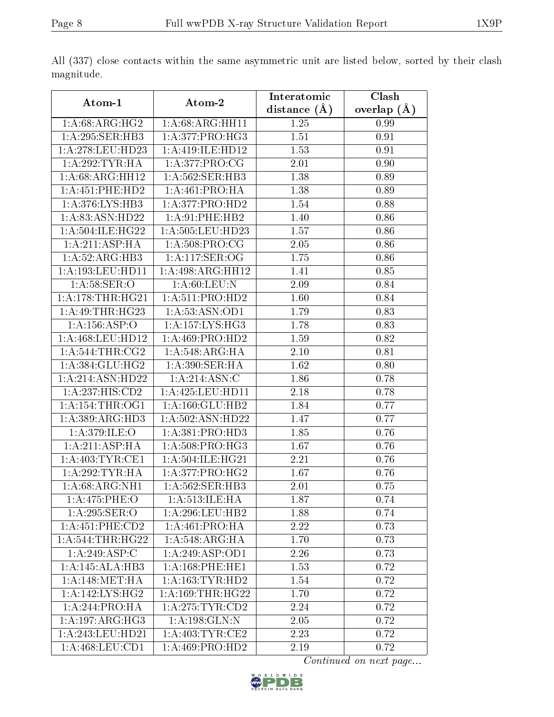|                       |                      | Interatomic    | Clash         |  |
|-----------------------|----------------------|----------------|---------------|--|
| Atom-1                | Atom-2               | distance $(A)$ | overlap $(A)$ |  |
| 1: A:68: ARG: HG2     | 1: A:68: ARG: HH11   |                | 0.99          |  |
| 1:A:295:SER:HB3       | 1:A:377:PRO:HG3      | 1.51           | 0.91          |  |
| 1: A:278:LEU:HD23     | 1:A:419:ILE:HD12     | 1.53           | 0.91          |  |
| 1: A:292:TYR:HA       | 1:A:377:PRO:CG       | 2.01           | 0.90          |  |
| 1:A:68:ARG:HH12       | 1:A:562:SER:HB3      | 1.38           | 0.89          |  |
| 1: A: 451: PHE: HD2   | 1:A:461:PRO:HA       | 1.38           | 0.89          |  |
| 1:A:376:LYS:HB3       | 1:A:377:PRO:HD2      | 1.54           | 0.88          |  |
| 1: A:83: ASN:HD22     | 1:A:91:PHE:HB2       | 1.40           | 0.86          |  |
| 1:A:504:ILE:HG22      | 1:A:505:LEU:HD23     | 1.57           | 0.86          |  |
| 1:A:211:ASP:HA        | 1: A:508: PRO:CG     | 2.05           | 0.86          |  |
| 1:A:52:ARG:HB3        | 1:A:117:SER:OG       | 1.75           | 0.86          |  |
| 1: A: 193: LEU: HD11  | 1:A:498:ARG:HH12     | 1.41           | 0.85          |  |
| 1: A:58: SER:O        | 1: A:60:LEU:N        | 2.09           | 0.84          |  |
| 1: A:178:THR:HG21     | 1:A:511:PRO:HD2      | 1.60           | 0.84          |  |
| 1:A:49:THR:HG23       | 1: A: 53: ASN: OD1   | 1.79           | 0.83          |  |
| 1:A:156:ASP:O         | 1:A:157:LYS:HG3      | 1.78           | 0.83          |  |
| 1:A:468:LEU:HD12      | 1: A:469: PRO:HD2    | 1.59           | 0.82          |  |
| 1: A:544:THR:CG2      | 1:A:548:ARG:HA       | 2.10           | 0.81          |  |
| 1:A:384:GLU:HG2       | 1:A:390:SER:HA       | 1.62           | 0.80          |  |
| 1:A:214:ASN:HD22      | 1:A:214:ASN:C        | 1.86           | 0.78          |  |
| 1:A:237:HIS:CD2       | 1: A: 425: LEU: HD11 | 2.18           | 0.78          |  |
| 1: A:154:THR:OG1      | 1:A:160:GLU:HB2      | 1.84           | 0.77          |  |
| 1: A: 389: ARG: HD3   | 1:A:502:ASN:HD22     | 1.47           | 0.77          |  |
| 1: A:379: ILE: O      | 1: A: 381: PRO: HD3  | 1.85           | 0.76          |  |
| 1: A:211:ASP:HA       | 1:A:508:PRO:HG3      | 1.67           | 0.76          |  |
| 1: A:403:TYR:CE1      | 1:A:504:ILE:HG21     | 2.21           | 0.76          |  |
| 1:A:292:TYR:HA        | 1:A:377:PRO:HG2      | 1.67           | 0.76          |  |
| 1:A:68:ARG:NH1        | 1:A:562:SER:HB3      | 2.01           | 0.75          |  |
| 1:A:475:PHE:O         | 1:A:513:ILE:HA       | 1.87           | 0.74          |  |
| 1:A:295:SER:O         | 1: A:296:LEU:HB2     | 1.88           | 0.74          |  |
| $1:A:451:$ PHE: $CD2$ | 1: A:461:PRO:HA      | 2.22           | 0.73          |  |
| 1: A:544:THR:HG22     | 1: A:548: ARG: HA    | 1.70           | 0.73          |  |
| 1:A:249:ASP:C         | 1:A:249:ASP:OD1      | 2.26           | 0.73          |  |
| 1:A:145:ALA:HB3       | 1: A:168:PHE:HE1     | 1.53           | 0.72          |  |
| 1: A:148:MET:HA       | 1: A: 163: TYR: HD2  | 1.54           | 0.72          |  |
| 1:A:142:LYS:HG2       | 1: A: 169: THR: HG22 | 1.70           | 0.72          |  |
| 1:A:244:PRO:HA        | 1: A:275: TYR: CD2   | 2.24           | 0.72          |  |
| 1:A:197:ARG:HG3       | 1:A:198:GLN:N        | 2.05           | 0.72          |  |
| 1: A:243:LEU:HD21     | 1: A:403:TYR:CE2     | 2.23           | 0.72          |  |
| 1: A:468: LEU: CD1    | 1:A:469:PRO:HD2      | 2.19           | 0.72          |  |

All (337) close contacts within the same asymmetric unit are listed below, sorted by their clash magnitude.

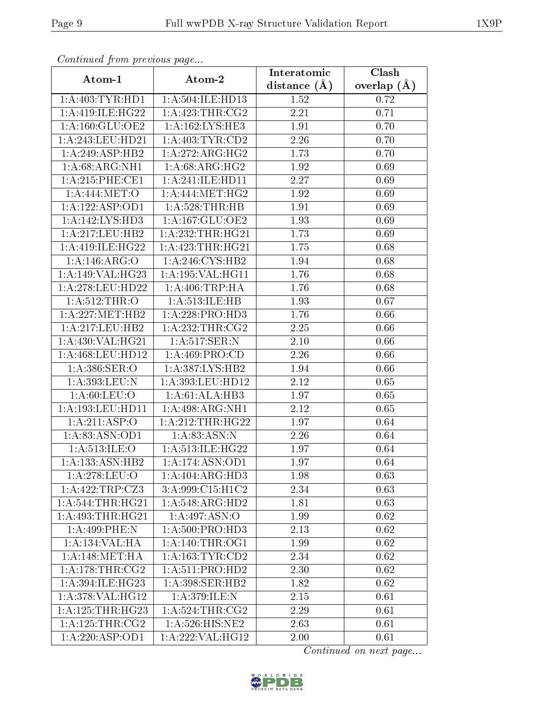| Commaca from previous page          |                                         | Interatomic       | Clash         |
|-------------------------------------|-----------------------------------------|-------------------|---------------|
| Atom-1                              | Atom-2                                  | distance $(A)$    | overlap $(A)$ |
| 1: A: 403: TYR: HD1                 | 1:A:504:ILE:HD13                        | 1.52              | 0.72          |
| 1:A:419:ILE:HG22                    | 1:A:423:THR:CG2                         | $\overline{2.21}$ | 0.71          |
| 1: A: 160: GLU: OE2                 | 1: A: 162: LYS: HE3                     | 1.91              | 0.70          |
| 1:A:243:LEU:HD21                    | 1: A:403: TYR:CD2                       | 2.26              | 0.70          |
| 1:A:249:ASP:HB2                     | 1:A:272:ARG:HG2                         | 1.73              | 0.70          |
| 1: A:68: ARG: NH1                   | 1: A:68: ARG: HG2                       | 1.92              | 0.69          |
| 1: A:215:PHE:CE1                    | 1:A:241:ILE:HD11                        | 2.27              | 0.69          |
| 1: A:444: MET:O                     | $1:A:444:MET:H\overline{G2}$            | 1.92              | 0.69          |
| 1:A:122:ASP:OD1                     | 1: A:528:THR:HB                         | 1.91              | 0.69          |
| $1:A:142:\overline{\text{LYS:HD3}}$ | 1: A: 167: GLU: OE2                     | 1.93              | 0.69          |
| 1:A:217:LEU:HB2                     | 1: A: 232: THR: HG21                    | 1.73              | 0.69          |
| 1:A:419:ILE:HG22                    | 1:A:423:THR:HG21                        | 1.75              | 0.68          |
| 1:A:146:ARG:O                       | 1:A:246:CYS:HB2                         | 1.94              | 0.68          |
| 1:A:149:VAL:HG23                    | 1: A:195: VAL:HGI1                      | 1.76              | 0.68          |
| 1: A:278:LEU:HD22                   | 1: A:406:TRP:HA                         | 1.76              | 0.68          |
| 1:A:512:THR:O                       | 1:A:513:ILE:HB                          | 1.93              | 0.67          |
| 1: A:227: MET:HB2                   | 1:A:228:PRO:HD3                         | 1.76              | 0.66          |
| 1: A:217:LEU:HB2                    | $1:\overline{A}:232:\overline{THR}:CG2$ | 2.25              | 0.66          |
| 1:A:430:VAL:HG21                    | 1:A:517:SER:N                           | $2.10\,$          | 0.66          |
| 1:A:468:LEU:HD12                    | 1: A:469: PRO:CD                        | 2.26              | 0.66          |
| 1: A: 386: SER: O                   | 1: A: 387: LYS: HB2                     | 1.94              | 0.66          |
| 1:A:393:LEU:N                       | 1:A:393:LEU:HD12                        | 2.12              | 0.65          |
| 1: A:60: LEU:O                      | 1: A:61: ALA:HB3                        | 1.97              | 0.65          |
| 1: A: 193: LEU: HD11                | 1: A:498:ARG:NH1                        | 2.12              | 0.65          |
| 1:A:211:ASP:O                       | 1: A:212:THR:HG22                       | 1.97              | 0.64          |
| 1:A:83:ASN:OD1                      | 1: A:83: ASN: N                         | 2.26              | 0.64          |
| 1: A:513: ILE: O                    | 1: A:513: ILE: HG22                     | 1.97              | 0.64          |
| 1:A:133:ASN:HB2                     | 1:A:174:ASN:OD1                         | 1.97              | 0.64          |
| 1: A:278:LEU:O                      | 1:A:404:ARG:HD3                         | 1.98              | 0.63          |
| 1:A:422:TRP:CZ3                     | 3:A:999:C15:H1C2                        | 2.34              | 0.63          |
| 1: A:544:THR:HG21                   | 1:A:548:ARG:HD2                         | $\overline{1}.81$ | 0.63          |
| 1: A:493:THR:HG21                   | 1:A:497:ASN:O                           | 1.99              | 0.62          |
| $1: A:499:$ PHE:N                   | 1: A:500: PRO:HD3                       | 2.13              | 0.62          |
| 1:A:134:VAL:HA                      | 1: A:140:THR:OG1                        | 1.99              | 0.62          |
| 1: A:148:MET:HA                     | 1: A: 163: TYR: CD2                     | 2.34              | 0.62          |
| 1:A:178:THR:CG2                     | 1: A:511: PRO:HD2                       | 2.30              | 0.62          |
| 1: A:394: ILE: HG <sub>23</sub>     | 1: A:398: SER: HB2                      | 1.82              | 0.62          |
| 1:A:378:VAL:HG12                    | 1:A:379:ILE:N                           | 2.15              | 0.61          |
| 1: A: 125: THR: HG23                | $1:$ A:524:THR:CG2                      | 2.29              | 0.61          |
| 1: A: 125: THR: CG2                 | $1: A:526:H1\overline{S:NE2}$           | 2.63              | 0.61          |
| 1:A:220:ASP:OD1                     | 1:A:222:VAL:HG12                        | 2.00              | 0.61          |

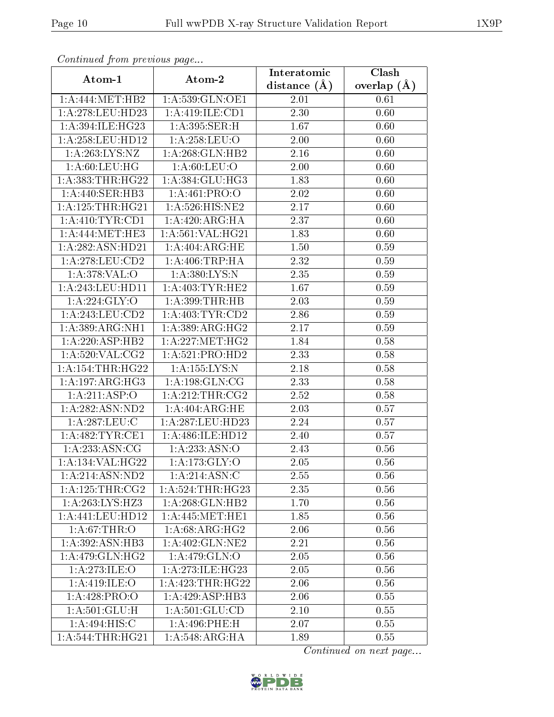| Continuea from previous page |                                             | Interatomic       | Clash         |  |
|------------------------------|---------------------------------------------|-------------------|---------------|--|
| Atom-1                       | Atom-2                                      | distance $(A)$    | overlap $(A)$ |  |
| 1: A:444: MET:HB2            | 1:A:539:GLN:OE1                             | 2.01              | 0.61          |  |
| 1:A:278:LEU:HD23             | 1:A:419:ILE:CD1                             | $\overline{2.30}$ | 0.60          |  |
| 1:A:394:ILE:HG23             | 1:A:395:SER:H                               | 1.67              | 0.60          |  |
| 1:A:258:LEU:HD12             | 1:A:258:LEU:O                               | 2.00              | 0.60          |  |
| 1:A:263:LYS:NZ               | 1: A:268: GLN:HB2                           | 2.16              | 0.60          |  |
| 1: A:60:LEU:HG               | 1: A:60: LEU:O                              | 2.00              | 0.60          |  |
| 1:A:383:THR:HG22             | 1:A:384:GLU:HG3                             | 1.83              | 0.60          |  |
| 1:A:440:SER:HB3              | 1: A:461: PRO:O                             | 2.02              | 0.60          |  |
| 1: A: 125: THR: HG21         | 1:A:526:HIS:NE2                             | 2.17              | 0.60          |  |
| 1: A:410: TYR: CD1           | 1:A:420:ARG:HA                              | 2.37              | 0.60          |  |
| 1: A:444: MET:HE3            | 1: A:561: VAL:HG21                          | 1.83              | 0.60          |  |
| 1:A:282:ASN:HD21             | 1: A:404: ARG: HE                           | 1.50              | 0.59          |  |
| 1:A:278:LEU:CD2              | 1: A:406:TRP:HA                             | 2.32              | 0.59          |  |
| 1: A:378: VAL:O              | 1: A:380: LYS:N                             | 2.35              | 0.59          |  |
| 1:A:243:LEU:HD11             | 1: A:403: TYR: HE2                          | 1.67              | 0.59          |  |
| 1: A:224: GLY:O              | 1: A:399:THR:HB                             | 2.03              | 0.59          |  |
| 1:A:243:LEU:CD2              | 1:A:403:TYR:CD2                             | 2.86              | 0.59          |  |
| 1: A:389: ARG:NH1            | 1: A:389: ARG: HG2                          | 2.17              | 0.59          |  |
| 1:A:220:ASP:HB2              | 1: A: 227: MET:HG2                          | 1.84              | 0.58          |  |
| 1: A:520: VAL: CG2           | 1: A:521: PRO:HD2                           | 2.33              | 0.58          |  |
| 1: A: 154: THR: HG22         | 1:A:155:LYS:N                               | 2.18              | 0.58          |  |
| 1: A: 197: ARG: HG3          | 1: A: 198: GLN: CG                          | 2.33              | 0.58          |  |
| 1:A:211:ASP:O                | 1: A:212:THR:CG2                            | 2.52              | 0.58          |  |
| 1: A: 282: ASN: ND2          | 1: A:404: ARG: HE                           | 2.03              | 0.57          |  |
| 1:A:287:LEU:C                | 1:A:287:LEU:HD23                            | 2.24              | 0.57          |  |
| 1:A:482:TYR:CE1              | 1: A:486: ILE: HD12                         | 2.40              | 0.57          |  |
| 1: A: 233: ASN: CG           | 1:A:233:ASN:O                               | 2.43              | 0.56          |  |
| 1:A:134:VAL:HG22             | 1:A:173:GLY:O                               | 2.05              | 0.56          |  |
| 1: A:214: ASN:ND2            | 1:A:214:ASN:C                               | 2.55              | 0.56          |  |
| 1: A: 125: THE: CG2          | 1: A:524:THR:HG23                           | 2.35              | 0.56          |  |
| 1: A:263:LYS:HZ3             | 1: A:268: GLN:HB2                           | 1.70              | 0.56          |  |
| $1: A:441:$ LEU:HD12         | 1: A:445: MET:HE1                           | 1.85              | 0.56          |  |
| 1: A:67:THR:O                | 1: A:68: ARG: HG2                           | 2.06              | 0.56          |  |
| 1: A:392: ASN:HB3            | 1: A:402: GLN:NE2                           | 2.21              | 0.56          |  |
| 1: A:479: GLN: HG2           | 1: A:479: GLN:O                             | 2.05              | 0.56          |  |
| 1:A:273:ILE:O                | 1:A:273:ILE:HG23                            | 2.05              | 0.56          |  |
| 1: A:419: ILE: O             | 1: A: 423: THR: HG22                        | 2.06              | 0.56          |  |
| 1:A:428:PRO:O                | 1:A:429:ASP:HB3                             | 2.06              | 0.55          |  |
| 1: A:501: GLU: H             | 1: A:501: GLU:CD                            | 2.10              | 0.55          |  |
| 1:A:494:HIS:C                | 1:A:496:PHE:H                               | 2.07              | 0.55          |  |
| 1:A:544:THR:HG21             | $1:A:548: \overline{\text{ARG:H} \text{A}}$ | 1.89              | 0.55          |  |

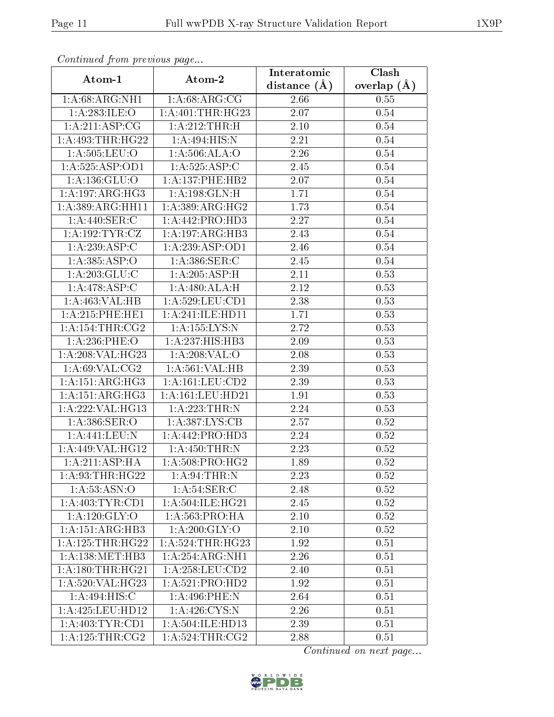| сонинией јтот ртеvиоиз раде         |                              | Interatomic       | Clash         |
|-------------------------------------|------------------------------|-------------------|---------------|
| Atom-1                              | Atom-2                       | distance $(A)$    | overlap $(A)$ |
| 1: A:68: ARG:NH1                    | 1: A:68: ARG:CG              | 2.66              | 0.55          |
| 1:A:283:ILE:O                       | 1: A:401:THR:HG23            | $\overline{2.07}$ | 0.54          |
| 1: A:211: ASP:CG                    | 1: A:212:THR:H               | 2.10              | 0.54          |
| 1: A:493:THR:HG22                   | 1:A:494:HIS:N                | 2.21              | 0.54          |
| $1: A:505: \overline{\text{LEU:O}}$ | 1:A:506:ALA:O                | 2.26              | 0.54          |
| 1:A:525:ASP:OD1                     | 1:A:525:ASP:C                | 2.45              | 0.54          |
| 1:A:136:GLU:O                       | 1:A:137:PHE:HB2              | 2.07              | 0.54          |
| 1:A:197:ARG:HG3                     | 1:A:198:GLN:H                | 1.71              | 0.54          |
| 1:A:389:ARG:HH11                    | 1: A:389: ARG: HG2           | 1.73              | 0.54          |
| 1:A:440:SER:C                       | 1:A:442:PRO:HD3              | 2.27              | 0.54          |
| 1: A: 192: TYR: CZ                  | 1:A:197:ARG:HB3              | 2.43              | 0.54          |
| 1:A:239:ASP:C                       | 1: A:239: ASP:OD1            | 2.46              | 0.54          |
| 1:A:385:ASP:O                       | 1: A:386: SER: C             | 2.45              | 0.54          |
| 1:A:203:GLU:C                       | 1:A:205:ASP:H                | 2.11              | 0.53          |
| $1:A:478:A\overline{SP:C}$          | 1: A:480:ALA:H               | 2.12              | 0.53          |
| 1:A:463:VAL:HB                      | 1: A:529: LEU: CD1           | 2.38              | 0.53          |
| 1: A:215: PHE:HE1                   | 1:A:241:ILE:HD11             | 1.71              | 0.53          |
| 1: A:154:THR:CG2                    | 1: A: 155: LYS:N             | 2.72              | 0.53          |
| 1:A:236:PHE:O                       | $1:A:23\overline{7:H1S:HB3}$ | 2.09              | 0.53          |
| 1:A:208:VAL:HG23                    | 1:A:208:VAL:O                | 2.08              | 0.53          |
| 1: A:69: VAL:CG2                    | 1:A:561:VAL:HB               | 2.39              | 0.53          |
| 1: A:151: ARG: HG3                  | 1: A: 161: LEU: CD2          | 2.39              | 0.53          |
| 1: A:151: ARG: HG3                  | 1:A:161:LEU:HD21             | 1.91              | 0.53          |
| 1:A:222:VAL:HG13                    | 1: A:223:THR:N               | 2.24              | 0.53          |
| 1:A:386:SER:O                       | 1: A: 387: LYS: CB           | 2.57              | 0.52          |
| $1:$ A:441:LEU:N                    | 1:A:442:PRO:H <sub>D3</sub>  | $\overline{2}.24$ | 0.52          |
| 1:A:449:VAL:HG12                    | 1:A:450:THR:N                | 2.23              | 0.52          |
| 1: A:211: ASP:HA                    | 1:A:508:PRO:HG2              | 1.89              | 0.52          |
| 1: A:93:THR:HG22                    | 1: A:94:THR:N                | 2.23              | 0.52          |
| 1: A: 53: ASN: O                    | 1: A:54:SER:C                | 2.48              | 0.52          |
| 1: A:403: TYR:CD1                   | 1: A:504: ILE: HG21          | 2.45              | 0.52          |
| 1: A: 120: GLY:O                    | 1: A:563:PRO:HA              | 2.10              | 0.52          |
| 1:A:151:ARG:HB3                     | 1: A:200: GLY:O              | 2.10              | 0.52          |
| 1:A:125:THR:HG22                    | $1:A:524$ : THR: HG23        | 1.92              | 0.51          |
| 1: A: 138: MET: HB3                 | 1:A:254:ARG:NH1              | 2.26              | 0.51          |
| 1: A:180:THR:HG21                   | 1: A:258:LEU:CD2             | 2.40              | 0.51          |
| 1:A:520:VAL:HG23                    | 1: A:521: PRO:HD2            | 1.92              | 0.51          |
| 1:A:494:HIS:C                       | 1:A:496:PHE:N                | 2.64              | 0.51          |
| 1: A:425: LEU: HD12                 | 1: A:426: CYS:N              | 2.26              | 0.51          |
| 1: A:403:TYR:CD1                    | 1: A: 504: ILE: HD13         | 2.39              | 0.51          |
| 1: A: 125: THR: CG2                 | 1: A:524:THR:CG2             | 2.88              | 0.51          |

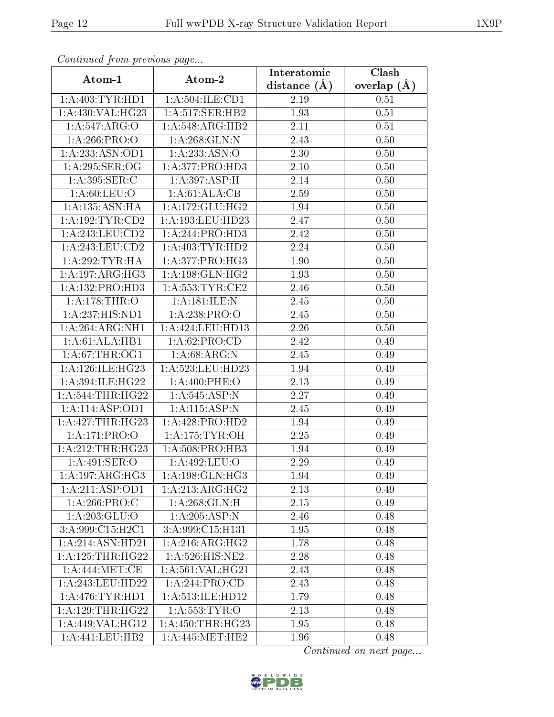| Continuea from previous page |                      | $\overline{\text{Clash}}$<br>Interatomic |               |  |
|------------------------------|----------------------|------------------------------------------|---------------|--|
| Atom-1                       | Atom-2               | distance $(A)$                           | overlap $(A)$ |  |
| 1: A:403: TYR: HD1           | 1:A:504:ILE:CD1      | 2.19                                     | 0.51          |  |
| 1:A:430:VAL:HG23             | 1:A:517:SER:HB2      | 1.93                                     | 0.51          |  |
| 1:A:547:ARG:O                | 1:A:548:ARG:HB2      | 2.11                                     | 0.51          |  |
| 1:A:266:PRO:O                | 1:A:268:GLN:N        | 2.43                                     | 0.50          |  |
| 1:A:233:ASN:OD1              | 1:A:233:ASN:O        | 2.30                                     | 0.50          |  |
| 1:A:295:SER:OG               | 1:A:377:PRO:HD3      | 2.10                                     | 0.50          |  |
| 1:A:395:SER:C                | 1:A:397:ASP:H        | 2.14                                     | 0.50          |  |
| 1: A:60:LEU:O                | 1:A:61:ALA:CB        | 2.59                                     | 0.50          |  |
| 1: A: 135: ASN: HA           | 1: A: 172: GLU: HG2  | 1.94                                     | 0.50          |  |
| 1: A: 192: TYR: CD2          | 1:A:193:LEU:HD23     | 2.47                                     | 0.50          |  |
| 1:A:243:LEU:CD2              | 1:A:244:PRO:HD3      | 2.42                                     | 0.50          |  |
| 1:A:243:LEU:CD2              | 1: A:403: TYR: HD2   | 2.24                                     | 0.50          |  |
| 1:A:292:TYR:HA               | 1:A:377:PRO:HG3      | 1.90                                     | 0.50          |  |
| 1: A: 197: ARG: HG3          | 1: A: 198: GLN: HG2  | 1.93                                     | 0.50          |  |
| 1:A:132:PRO:HD3              | 1: A: 553: TYR: CE2  | 2.46                                     | 0.50          |  |
| 1:A:178:THR:O                | 1:A:181:ILE:N        | 2.45                                     | 0.50          |  |
| 1:A:237:HIS:ND1              | 1:A:238:PRO:O        | $\overline{2.45}$                        | 0.50          |  |
| 1:A:264:ARG:NH1              | 1:A:424:LEU:HD13     | 2.26                                     | 0.50          |  |
| 1:A:61:ALA:HB1               | 1:A:62:PRO:CD        | 2.42                                     | 0.49          |  |
| 1: A:67:THR:OG1              | 1: A:68: ARG: N      | 2.45                                     | 0.49          |  |
| 1: A:126: ILE: HG23          | 1:A:523:LEU:HD23     | 1.94                                     | 0.49          |  |
| 1: A:394: ILE: HG22          | 1: A:400: PHE:O      | 2.13                                     | 0.49          |  |
| 1: A:544:THR:HG22            | 1:A:545:ASP:N        | 2.27                                     | 0.49          |  |
| 1:A:114:ASP:OD1              | 1:A:115:ASP:N        | 2.45                                     | 0.49          |  |
| 1:A:427:THR:HG23             | 1:A:428:PRO:HD2      | 1.94                                     | 0.49          |  |
| 1:A:171:PRO:O                | 1: A:175: TYR:OH     | 2.25                                     | 0.49          |  |
| 1:A:212:THR:HG23             | 1:A:508:PRO:HB3      | 1.94                                     | 0.49          |  |
| 1:A:491:SER:O                | 1:A:492:LEU:O        | 2.29                                     | 0.49          |  |
| $1:A:197:AR\overline{G:HG3}$ | 1: A: 198: GLN: HG3  | 1.94                                     | 0.49          |  |
| 1:A:211:ASP:OD1              | 1: A:213:ARG:HG2     | 2.13                                     | 0.49          |  |
| 1:A:266:PRO:C                | 1: A:268: GLN:H      | 2.15                                     | 0.49          |  |
| 1: A:203: GLU:O              | 1:A:205:ASP:N        | 2.46                                     | 0.48          |  |
| 3:A:999:C15:H2C1             | 3: A:999:C15:H131    | 1.95                                     | 0.48          |  |
| 1:A:214:ASN:HD21             | 1: A:216: ARG:HG2    | 1.78                                     | 0.48          |  |
| 1:A:125:THR:HG22             | 1: A:526: HIS: NE2   | 2.28                                     | 0.48          |  |
| 1: A:444: MET:CE             | 1:A:561:VAL:HG21     | 2.43                                     | 0.48          |  |
| 1: A:243:LEU:HD22            | 1: A:244:PRO:CD      | 2.43                                     | 0.48          |  |
| 1: A:476: TYR: HD1           | 1:A:513:ILE:HD12     | 1.79                                     | 0.48          |  |
| 1:A:129:THR:HG22             | $1:$ A:553:TYR:O     | 2.13                                     | 0.48          |  |
| 1:A:449:VAL:HG12             | 1: A: 450: THR: HG23 | 1.95                                     | 0.48          |  |
| 1: A: 441: LEU: HB2          | $1:$ A:445:MET:HE2   | 1.96                                     | 0.48          |  |

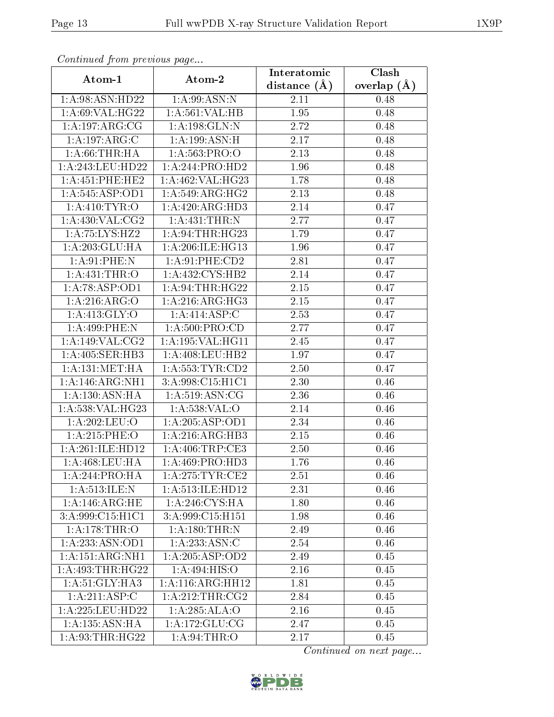| Continued from previous page |                     | Interatomic    | Clash         |  |
|------------------------------|---------------------|----------------|---------------|--|
| Atom-1                       | Atom-2              | distance $(A)$ | overlap $(A)$ |  |
| 1:A:98:ASN:HD22              | 1: A:99: ASN: N     | 2.11           | 0.48          |  |
| 1:A:69:VAL:HG22              | 1: A:561:VAL:HB     | 1.95           | 0.48          |  |
| 1: A: 197: ARG: CG           | 1:A:198:GLN:N       | 2.72           | 0.48          |  |
| 1:A:197:ARG:C                | 1: A:199: ASN:H     | 2.17           | 0.48          |  |
| 1: A:66:THR:HA               | 1:A:563:PRO:O       | 2.13           | 0.48          |  |
| 1:A:243:LEU:HD22             | 1:A:244:PRO:HD2     | 1.96           | 0.48          |  |
| 1: A:451: PHE:HE2            | 1:A:462:VAL:HG23    | 1.78           | 0.48          |  |
| 1:A:545:ASP:OD1              | 1: A:549: ARG:HG2   | 2.13           | 0.48          |  |
| 1: A: 410: TYR: O            | 1:A:420:ARG:HD3     | 2.14           | 0.47          |  |
| 1: A: 430: VAL: CG2          | 1:A:431:THR:N       | 2.77           | 0.47          |  |
| 1:A:75:LYS:H <sub>Z2</sub>   | 1: A:94:THR:HG23    | 1.79           | 0.47          |  |
| 1: A:203: GLU:HA             | 1: A:206: ILE: HG13 | 1.96           | 0.47          |  |
| 1: A:91:PHE:N                | 1: A:91:PHE:CD2     | 2.81           | 0.47          |  |
| 1:A:431:THR:O                | 1:A:432:CYS:HB2     | 2.14           | 0.47          |  |
| 1:A:78:ASP:OD1               | 1: A:94:THR:HG22    | $2.15\,$       | 0.47          |  |
| 1:A:216:ARG:O                | 1: A:216: ARG:HG3   | 2.15           | 0.47          |  |
| 1: A: 413: GLY: O            | 1:A:414:ASP:C       | 2.53           | 0.47          |  |
| 1:A:499:PHE:N                | 1:A:500:PRO:CD      | 2.77           | 0.47          |  |
| 1:A:149:VAL:CG2              | 1:A:195:VAL:HG11    | 2.45           | 0.47          |  |
| 1: A:405: SER:HB3            | 1:A:408:LEU:HB2     | 1.97           | 0.47          |  |
| 1: A: 131: MET: HA           | 1: A: 553: TYR: CD2 | 2.50           | 0.47          |  |
| 1:A:146:ARG:NH1              | 3:A:998:C15:H1C1    | 2.30           | 0.46          |  |
| 1: A: 130: ASN: HA           | 1: A:519: ASN: CG   | 2.36           | 0.46          |  |
| 1:A:538:VAL:HG23             | 1:A:538:VAL:O       | 2.14           | 0.46          |  |
| 1:A:202:LEU:O                | 1:A:205:ASP:OD1     | 2.34           | 0.46          |  |
| 1:A:215:PHE:O                | 1:A:216:ARG:HB3     | 2.15           | 0.46          |  |
| 1:A:261:ILE:HD12             | 1: A:406:TRP:CE3    | 2.50           | 0.46          |  |
| 1:A:468:LEU:HA               | 1: A:469: PRO:HD3   | 1.76           | 0.46          |  |
| 1: A:244:PRO:HA              | 1: A:275:TYR:CE2    | 2.51           | 0.46          |  |
| 1: A:513: ILE:N              | 1: A:513: ILE: HD12 | 2.31           | 0.46          |  |
| 1:A:146:ARG:HE               | 1: A:246: CYS:HA    | 1.80           | 0.46          |  |
| 3: A:999: C15: H1C1          | 3: A:999: C15: H151 | 1.98           | 0.46          |  |
| 1: A:178:THR:O               | 1: A:180:THR:N      | 2.49           | 0.46          |  |
| 1:A:233:ASN:OD1              | 1:A:233:ASN:C       | 2.54           | 0.46          |  |
| 1:A:151:ARG:NH1              | 1: A:205: ASP:OD2   | 2.49           | 0.45          |  |
| 1:A:493:THR:HG22             | 1: A:494: HIS:O     | 2.16           | 0.45          |  |
| 1: A:51: GLY: HA3            | 1: A:116:ARG:HH12   | 1.81           | 0.45          |  |
| 1:A:211:ASP:C                | 1: A:212:THR:CG2    | 2.84           | 0.45          |  |
| 1: A:225:LEU:HD22            | 1:A:285:ALA:O       | 2.16           | 0.45          |  |
| 1: A: 135: ASN: HA           | 1: A: 172: GLU: CG  | 2.47           | 0.45          |  |
| 1: A:93:THR:HG22             | 1: A:94:THR:O       | 2.17           | 0.45          |  |

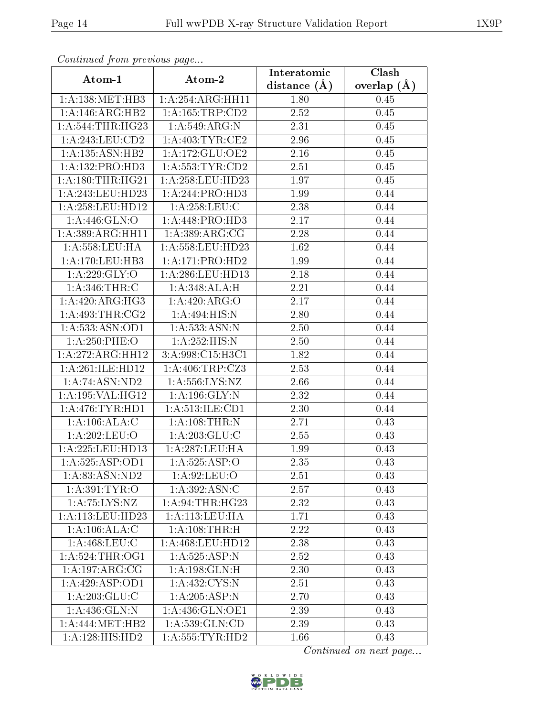| Continuea from previous page<br>Clash<br>Interatomic |                             |                   |                 |  |
|------------------------------------------------------|-----------------------------|-------------------|-----------------|--|
| Atom-1                                               | Atom-2                      | distance $(A)$    | overlap $(\AA)$ |  |
| 1: A: 138: MET: HB3                                  | 1:A:254:ARG:HH11            | 1.80              | 0.45            |  |
| 1:A:146:ARG:HB2                                      | 1: A: 165: TRP: CD2         | 2.52              | $0.45\,$        |  |
| 1: A:544:THR:HG23                                    | 1:A:549:ARG:N               | 2.31              | 0.45            |  |
| 1:A:243:LEU:CD2                                      | 1:A:403:TYR:CE2             | 2.96              | 0.45            |  |
| 1: A: 135: ASN: HB2                                  | 1:A:172:GLU:OE2             | 2.16              | 0.45            |  |
| 1:A:132:PRO:HD3                                      | 1: A: 553: TYR: CD2         | 2.51              | 0.45            |  |
| 1: A: 180: THR: HG21                                 | 1:A:258:LEU:HD23            | 1.97              | 0.45            |  |
| 1:A:243:LEU:HD23                                     | 1:A:244:PRO:HD3             | 1.99              | 0.44            |  |
| 1: A:258:LEU:HD12                                    | 1: A:258:LEU: C             | 2.38              | 0.44            |  |
| 1:A:446:GLN:O                                        | 1:A:448:PRO:HD3             | 2.17              | 0.44            |  |
| 1:A:389:ARG:HH11                                     | 1: A:389: ARG:CG            | 2.28              | 0.44            |  |
| 1:A:558:LEU:HA                                       | 1:A:558:LEU:HD23            | 1.62              | 0.44            |  |
| 1: A:170: LEU:HB3                                    | 1: A:171: PRO:HD2           | 1.99              | 0.44            |  |
| 1:A:229:GLY:O                                        | 1:A:286:LEU:HD13            | $\overline{2.18}$ | 0.44            |  |
| 1: A:346:THR:C                                       | 1:A:348:ALA:H               | 2.21              | 0.44            |  |
| 1:A:420:ARG:HG3                                      | 1:A:420:ARG:O               | 2.17              | 0.44            |  |
| 1: A:493:THR:CG2                                     | 1:A:494:HIS:N               | 2.80              | 0.44            |  |
| 1: A: 533: ASN: OD1                                  | 1: A:533:ASN:N              | 2.50              | 0.44            |  |
| 1:A:250:PHE:O                                        | 1:A:252:HIS:N               | 2.50              | 0.44            |  |
| 1:A:272:ARG:HH12                                     | 3:A:998:C15:H3C1            | 1.82              | 0.44            |  |
| 1:A:261:ILE:HD12                                     | 1: A:406:TRP: CZ3           | 2.53              | 0.44            |  |
| 1: A:74: ASN:ND2                                     | 1:A:556:LYS:NZ              | 2.66              | 0.44            |  |
| 1:A:195:VAL:HG12                                     | 1: A: 196: GLY:N            | 2.32              | 0.44            |  |
| 1: A:476: TYR: HD1                                   | 1:A:513:ILE:CD1             | 2.30              | 0.44            |  |
| 1: A: 106: ALA: C                                    | 1:A:108:THR:N               | 2.71              | 0.43            |  |
| 1:A:202:LEU:O                                        | $1: A:203:\overline{GLU:C}$ | 2.55              | 0.43            |  |
| 1:A:225:LEU:HD13                                     | 1:A:287:LEU:HA              | 1.99              | 0.43            |  |
| 1:A:525:ASP:OD1                                      | 1:A:525:ASP:O               | 2.35              | 0.43            |  |
| 1:A:83:ASN:ND2                                       | 1: A:92: LEU:O              | 2.51              | 0.43            |  |
| 1: A:391: TYR:O                                      | 1:A:392:ASN:C               | 2.57              | 0.43            |  |
| 1: A:75: LYS: NZ                                     | 1: A:94:THR:HG23            | 2.32              | 0.43            |  |
| 1:A:113:LEU:HD23                                     | 1:A:113:LEU:HA              | 1.71              | 0.43            |  |
| 1: A: 106: ALA: C                                    | 1: A:108:THR:H              | 2.22              | 0.43            |  |
| 1: A:468:LEU:C                                       | 1: A:468:LEU:HD12           | 2.38              | 0.43            |  |
| 1: A:524:THR:OG1                                     | 1: A: 525: ASP: N           | 2.52              | 0.43            |  |
| 1:A:197:ARG:CG                                       | 1: A: 198: GLN: H           | 2.30              | 0.43            |  |
| 1:A:429:ASP:OD1                                      | 1: A:432: CYS:N             | 2.51              | 0.43            |  |
| 1: A:203: GLU:C                                      | 1:A:205:ASP:N               | 2.70              | 0.43            |  |
| 1: A: 436: GLN:N                                     | 1: A: 436: GLN: OE1         | 2.39              | 0.43            |  |
| 1: A:444: MET:HB2                                    | 1: A: 539: GLN: CD          | 2.39              | 0.43            |  |
| 1:A:128:HIS:HD2                                      | 1: A: 555: TYR: HD2         | 1.66              | 0.43            |  |

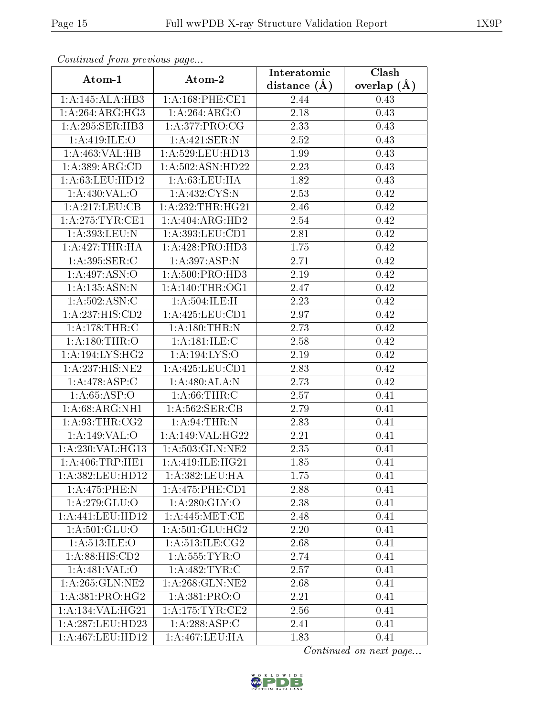| Commaca jibin previous page   |                                               | Interatomic       | Clash         |  |
|-------------------------------|-----------------------------------------------|-------------------|---------------|--|
| Atom-1                        | Atom-2                                        | distance $(A)$    | overlap $(A)$ |  |
| 1:A:145:ALA:HB3               | 1: A:168: PHE:CE1                             | 2.44              | 0.43          |  |
| 1: A:264:ARG:HG3              | 1:A:264:ARG:O                                 | $\overline{2.18}$ | 0.43          |  |
| 1: A:295: SER:HB3             | 1: A:377: PRO:CG                              | 2.33              | 0.43          |  |
| 1:A:419:ILE:O                 | 1:A:421:SER:N                                 | 2.52              | 0.43          |  |
| 1:A:463:VAL:HB                | 1: A:529:LEU:HD13                             | 1.99              | 0.43          |  |
| 1:A:389:ARG:CD                | 1:A:502:ASN:HD22                              | 2.23              | 0.43          |  |
| 1: A:63:LEU:HD12              | 1: A:63:LEU:HA                                | 1.82              | 0.43          |  |
| 1: A:430: VAL:O               | 1: A: 432: CYS:N                              | 2.53              | 0.42          |  |
| 1:A:217:LEU:CB                | 1: A: 232: THR: HG21                          | 2.46              | 0.42          |  |
| 1: A:275:TYR:CE1              | $1:A:404:ARG:H\overline{D2}$                  | 2.54              | 0.42          |  |
| 1:A:393:LEU:N                 | 1: A: 393: LEU: CD1                           | 2.81              | 0.42          |  |
| 1: A:427:THR:HA               | 1:A:428:PRO:HD3                               | 1.75              | 0.42          |  |
| 1:A:395:SER:C                 | $1:A:397.\overline{ASP:N}$                    | 2.71              | 0.42          |  |
| 1:A:497:ASN:O                 | 1: A:500: PRO:HD3                             | 2.19              | 0.42          |  |
| 1:A:135:ASN:N                 | 1: A:140:THR:OG1                              | 2.47              | 0.42          |  |
| 1: A:502: ASN: C              | 1:A:504:ILE:H                                 | 2.23              | 0.42          |  |
| $1:A:23\overline{7:HIS:CD2}$  | 1: A: 425: LEU: CD1                           | 2.97              | 0.42          |  |
| 1:A:178:THR:C                 | 1: A:180:THR:N                                | 2.73              | 0.42          |  |
| 1:A:180:THR:O                 | 1:A:181:ILE:C                                 | 2.58              | 0.42          |  |
| 1:A:194:LYS:HG2               | 1:A:194:LYS:O                                 | 2.19              | 0.42          |  |
| 1:A:237:HIS:NE2               | 1: A: 425: LEU: CD1                           | 2.83              | 0.42          |  |
| 1:A:478:ASP:C                 | 1: A:480:ALA:N                                | 2.73              | 0.42          |  |
| 1: A:65:ASP:O                 | 1: A:66:THR:C                                 | 2.57              | 0.41          |  |
| $1:A:68:A\overline{RG:NH1}$   | 1: A:562: SER:CB                              | 2.79              | 0.41          |  |
| 1: A:93:THR:CG2               | 1: A:94:THR:N                                 | 2.83              | 0.41          |  |
| 1: A:149: VAL:O               | 1:A:149:VAL:HG22                              | $\overline{2}.21$ | 0.41          |  |
| 1:A:230:VAL:HG13              | 1: A: 503: GLN: NE2                           | 2.35              | 0.41          |  |
| 1: A:406:TRP:HE1              | $1:A:419:ILE:H\overline{G21}$                 | 1.85              | 0.41          |  |
| 1:A:382:LEU:HD12              | 1: A: 382: LEU: HA                            | 1.75              | 0.41          |  |
| $1: A:475:$ PHE:N             | $1: A:475:$ PHE:CD1                           | 2.88              | 0.41          |  |
| 1: A:279: GLU:O               | 1: A:280: GLY:O                               | 2.38              | 0.41          |  |
| 1:A:441:LEU:HD12              | 1: A:445:MET:CE                               | 2.48              | 0.41          |  |
| 1: A:501: GLU:O               | $1:\!A:\!501:\!GLU:\!HG2$                     | 2.20              | 0.41          |  |
| 1: A:513: ILE: O              | $1: A:513: \overline{\text{ILE}: \text{CG2}}$ | 2.68              | 0.41          |  |
| $1: A:88: \overline{HIS:CD2}$ | 1: A: 555: TYR: O                             | 2.74              | 0.41          |  |
| 1:A:481:VAL:O                 | 1: A:482:TYR:C                                | 2.57              | 0.41          |  |
| 1: A:265: GLN:NE2             | 1: A:268: GLN:NE2                             | 2.68              | 0.41          |  |
| 1: A:381: PRO:HG2             | $1:A:381:P\overline{RO:O}$                    | 2.21              | 0.41          |  |
| 1:A:134:VAL:HG21              | 1: A:175: TYR: CE2                            | 2.56              | 0.41          |  |
| 1:A:287:LEU:HD23              | 1:A:288:ASP:C                                 | 2.41              | 0.41          |  |
| 1:A:467:LEU:HD12              | $1:A:467:\overline{\textrm{LEU:HA}}$          | 1.83              | 0.41          |  |

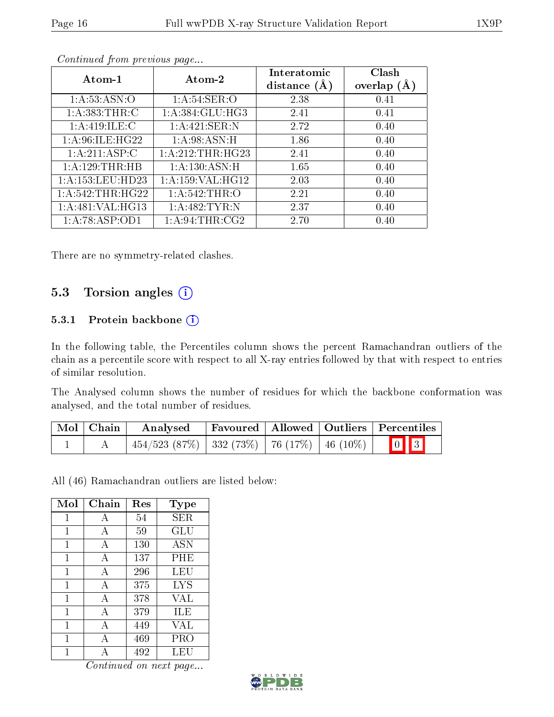| Atom-1               | Atom-2              | Interatomic<br>distance $(A)$ | Clash<br>overlap $(A)$ |
|----------------------|---------------------|-------------------------------|------------------------|
| 1: A:53: ASN:O       | 1: A:54:SER:O       | 2.38                          | 0.41                   |
| 1: A: 383: THR: C    | 1: A: 384: GLU: HG3 | 2.41                          | 0.41                   |
| 1:A:419:ILE:C        | 1:A:421:SER:N       | 2.72                          | 0.40                   |
| 1: A:96: ILE: HG22   | 1: A:98: ASN:H      | 1.86                          | 0.40                   |
| 1:A:211:ASP:C        | 1: A:212:THR:HG23   | 2.41                          | 0.40                   |
| 1: A:129:THR:HB      | 1: A: 130: ASN:H    | 1.65                          | 0.40                   |
| 1: A: 153: LEU: HD23 | 1:A:159:VAL:HG12    | 2.03                          | 0.40                   |
| 1: A:542:THR:HG22    | 1: A:542:THR:O      | 2.21                          | 0.40                   |
| 1:A:481:VAL:HG13     | 1: A:482:TYR:N      | 2.37                          | 0.40                   |
| 1:A:78:ASP:OD1       | 1: A:94:THR:CG2     | 2.70                          | 0.40                   |

There are no symmetry-related clashes.

### 5.3 Torsion angles (i)

#### 5.3.1 Protein backbone (i)

In the following table, the Percentiles column shows the percent Ramachandran outliers of the chain as a percentile score with respect to all X-ray entries followed by that with respect to entries of similar resolution.

The Analysed column shows the number of residues for which the backbone conformation was analysed, and the total number of residues.

| Mol   Chain | Analysed                                               |  | Favoured   Allowed   Outliers   Percentiles |
|-------------|--------------------------------------------------------|--|---------------------------------------------|
|             | $-454/523$ (87\%)   332 (73\%)   76 (17\%)   46 (10\%) |  | $\boxed{0}$ $\boxed{3}$                     |

All (46) Ramachandran outliers are listed below:

| Mol | Chain | Res | Type       |
|-----|-------|-----|------------|
| 1   | А     | 54  | SER        |
| 1   | А     | 59  | GLU        |
| 1   | А     | 130 | <b>ASN</b> |
| 1   | А     | 137 | PHE        |
| 1   | А     | 296 | LEU        |
| 1   | A     | 375 | <b>LYS</b> |
| 1   | А     | 378 | VAL        |
| 1   | А     | 379 | ILE        |
| 1   | A     | 449 | VAL        |
| 1   | А     | 469 | PRO        |
|     |       | 492 | LEU        |

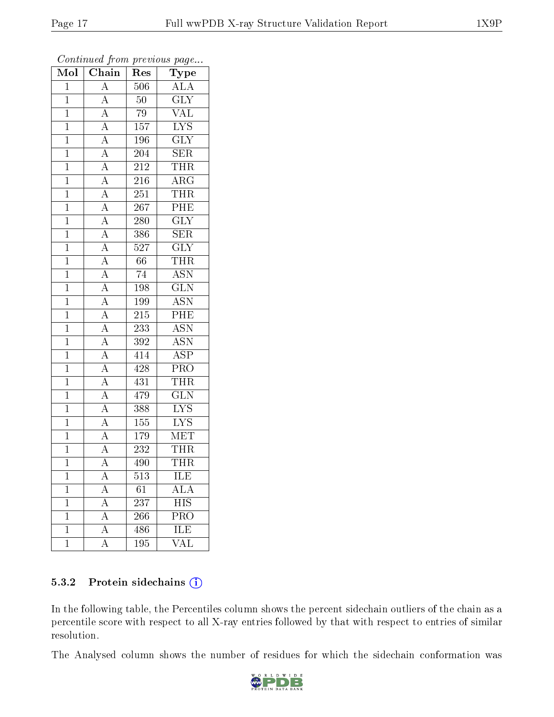| Mol            | Chain                               | $\operatorname{Res}% \left( \mathcal{N}\right) \equiv\operatorname{Res}(\mathcal{N}_{0})\cap\mathcal{N}_{1}$ | $\mathrm{Type}$           |
|----------------|-------------------------------------|--------------------------------------------------------------------------------------------------------------|---------------------------|
| $\mathbf{1}$   | $\overline{A}$                      | 506                                                                                                          | <b>ALA</b>                |
| $\mathbf{1}$   | $\overline{A}$                      | 50                                                                                                           | $\overline{\text{GLY}}$   |
| $\overline{1}$ | $\overline{A}$                      | $\overline{79}$                                                                                              | $\overline{\text{VAL}}$   |
| $\overline{1}$ | $\overline{A}$                      | 157                                                                                                          | IYS                       |
| $\overline{1}$ | $\frac{\overline{A}}{\overline{A}}$ | <b>196</b>                                                                                                   | $\overline{\text{GLY}}$   |
| $\mathbf{1}$   |                                     | 204                                                                                                          | $\overline{\text{SER}}$   |
| $\mathbf{1}$   | $\overline{A}$                      | $\overline{212}$                                                                                             | <b>THR</b>                |
| $\mathbf{1}$   | $\overline{A}$                      | 216                                                                                                          | $\overline{\rm ARG}$      |
| $\overline{1}$ | $\overline{A}$                      | $\overline{251}$                                                                                             | <b>THR</b>                |
| $\overline{1}$ | $\overline{A}$                      | 267                                                                                                          | PHE                       |
| $\overline{1}$ | $\frac{1}{\mathbf{A}}$              | 280                                                                                                          | $\overline{\text{GLY}}$   |
| $\overline{1}$ | $\overline{A}$                      | 386                                                                                                          | SER                       |
| $\overline{1}$ | $\overline{A}$                      | 527                                                                                                          | $\overline{\text{GLY}}$   |
| $\overline{1}$ | $\frac{\overline{A}}{A}$            | 66                                                                                                           | <b>THR</b>                |
| $\mathbf 1$    |                                     | $\overline{74}$                                                                                              | $\overline{\text{ASN}}$   |
| $\mathbf{1}$   | $\overline{A}$                      | 198                                                                                                          | $\overline{\text{GLN}}$   |
| $\mathbf{1}$   | $\overline{A}$                      | 199                                                                                                          | <b>ASN</b>                |
| $\mathbf{1}$   | $\frac{A}{A}$                       | 215                                                                                                          | PHE                       |
| $\mathbf{1}$   |                                     | 233                                                                                                          | $\overline{\text{ASN}}$   |
| $\overline{1}$ | $\frac{\overline{A}}{\overline{A}}$ | $3\overline{9}\overline{2}$                                                                                  | <b>ASN</b>                |
| $\mathbf{1}$   |                                     | 414                                                                                                          | $\overline{\text{ASP}}$   |
| $\overline{1}$ |                                     | 428                                                                                                          | PRO                       |
| $\overline{1}$ | $\frac{\overline{A}}{\overline{A}}$ | 431                                                                                                          | <b>THR</b>                |
| $\overline{1}$ | $\overline{A}$                      | $\sqrt{479}$                                                                                                 | $\overline{\text{GLN}}$   |
| $\mathbf{1}$   | $\overline{A}$                      | 388                                                                                                          | $\overline{\text{LYS}}$   |
| $\mathbf{1}$   | $\overline{A}$                      | 155                                                                                                          | $\overline{\text{LYS}}$   |
| $\overline{1}$ | $\overline{A}$                      | $\overline{179}$                                                                                             | <b>MET</b>                |
| $\overline{1}$ | $\overline{A}$                      | 232                                                                                                          | THR                       |
| $\overline{1}$ | $\overline{\rm A}$                  | 490                                                                                                          | <b>THR</b>                |
| $\mathbf 1$    | A                                   | 513                                                                                                          | ILE                       |
| $\mathbf 1$    | $\bf{A}$                            | 61                                                                                                           | $\overline{\rm ALA}$      |
| $\mathbf 1$    | $\boldsymbol{A}$                    | 237                                                                                                          | $\overline{\mathrm{HIS}}$ |
| $\mathbf 1$    | $\overline{\rm A}$                  | 266                                                                                                          | $\overline{\text{PRO}}$   |
| $\mathbf 1$    | $\overline{\rm A}$                  | 486                                                                                                          | ILE                       |
| $\mathbf 1$    | А                                   | 195                                                                                                          | VAL                       |

Continued from previous page...

#### 5.3.2 Protein sidechains (i)

In the following table, the Percentiles column shows the percent sidechain outliers of the chain as a percentile score with respect to all X-ray entries followed by that with respect to entries of similar resolution.

The Analysed column shows the number of residues for which the sidechain conformation was

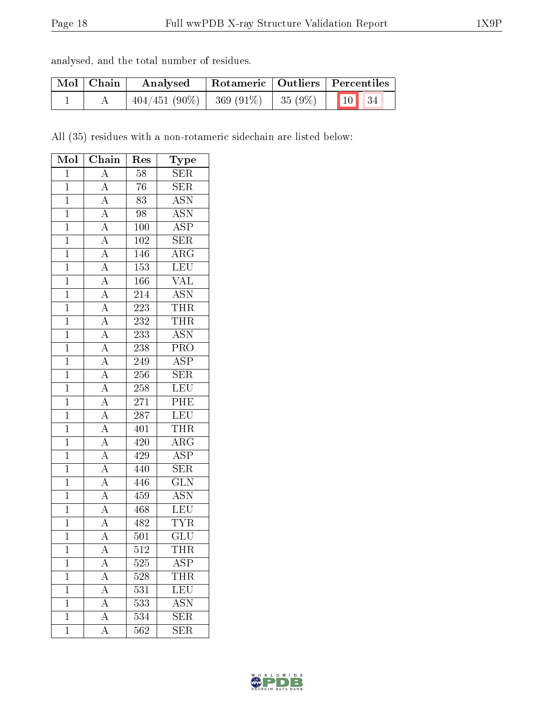| analysed, and the total number of residues. |  |  |  |
|---------------------------------------------|--|--|--|
|                                             |  |  |  |

| Mol   Chain | Analysed                                |  | Rotameric   Outliers   Percentiles |  |  |
|-------------|-----------------------------------------|--|------------------------------------|--|--|
|             | $404/451(90\%)$ 369 (91%) 35 (9%) 10 34 |  |                                    |  |  |

All (35) residues with a non-rotameric sidechain are listed below:

| Mol            | Chain                                                                   | Res              | Type                      |
|----------------|-------------------------------------------------------------------------|------------------|---------------------------|
| $\mathbf{1}$   | $\overline{A}$                                                          | $\overline{58}$  | SER                       |
| $\mathbf{1}$   | $\overline{A}$                                                          | 76               | <b>SER</b>                |
| $\mathbf{1}$   | $\overline{A}$                                                          | $\overline{83}$  | $\overline{\mathrm{ASN}}$ |
| $\mathbf{1}$   | $\overline{A}$                                                          | 98               | <b>ASN</b>                |
| $\overline{1}$ |                                                                         | 100              | $\overline{\text{ASP}}$   |
| $\overline{1}$ |                                                                         | 102              | $\overline{\text{SER}}$   |
| $\mathbf{1}$   |                                                                         | 146              | $\overline{\rm{ARG}}$     |
| $\overline{1}$ | $\frac{\overline{A}}{\overline{A}}$ $\frac{\overline{A}}{\overline{A}}$ | $\overline{153}$ | LEU                       |
| $\mathbf{1}$   | $\frac{1}{A}$                                                           | 166              | $\overline{\text{VAL}}$   |
| $\overline{1}$ |                                                                         | 214              | <b>ASN</b>                |
| $\overline{1}$ | $\frac{\overline{A}}{\overline{A}}$                                     | $\overline{223}$ | THR                       |
| $\overline{1}$ | $\overline{A}$                                                          | 232              | THR                       |
| $\overline{1}$ | $\overline{A}$                                                          | 233              | $\overline{\text{ASN}}$   |
| $\overline{1}$ | $\frac{\overline{A}}{\overline{A}}$                                     | 238              | $\overline{\text{PRO}}$   |
| $\overline{1}$ |                                                                         | 249              | $\overline{\text{ASP}}$   |
| $\mathbf{1}$   | $\overline{A}$                                                          | $256\,$          | <b>SER</b>                |
| $\mathbf{1}$   | $\overline{A}$                                                          | $258\,$          | LEU                       |
| $\overline{1}$ |                                                                         | 271              | $\overline{PHE}$          |
| $\mathbf{1}$   | $\frac{\overline{A}}{\overline{A}}$ $\frac{\overline{A}}{\overline{A}}$ | 287              | LEU                       |
| $\overline{1}$ |                                                                         | 401              | <b>THR</b>                |
| $\mathbf{1}$   |                                                                         | 420              | $\rm{ARG}$                |
| $\mathbf{1}$   | $\frac{\overline{A}}{\overline{A}}$                                     | 429              | <b>ASP</b>                |
| $\overline{1}$ |                                                                         | 440              | $\overline{\text{SER}}$   |
| $\mathbf{1}$   | $\frac{\overline{A}}{\overline{A}}$                                     | 446              | $\overline{\text{GLN}}$   |
| $\mathbf{1}$   |                                                                         | 459              | $\overline{\mathrm{ASN}}$ |
| $\mathbf{1}$   | $\frac{\overline{A}}{\overline{A}}$                                     | 468              | $\overline{\text{LEU}}$   |
| $\overline{1}$ |                                                                         | 482              | $\overline{\text{TYR}}$   |
| $\overline{1}$ |                                                                         | 501              | GLU                       |
| $\overline{1}$ | $\overline{\rm A}$                                                      | 512              | THR                       |
| 1              | $\boldsymbol{A}$                                                        | 525              | ASP                       |
| $\mathbf 1$    | $\rm A$                                                                 | 528              | THR                       |
| $\mathbf 1$    | $\overline{A}$                                                          | 531              | <b>LEU</b>                |
| $\mathbf{1}$   | $\overline{\rm A}$                                                      | 533              | <b>ASN</b>                |
| $\mathbf 1$    | $\overline{A}$                                                          | 534              | $\overline{\text{SER}}$   |
| $\mathbf 1$    | $\overline{\rm A}$                                                      | 562              | $\overline{\text{SER}}$   |

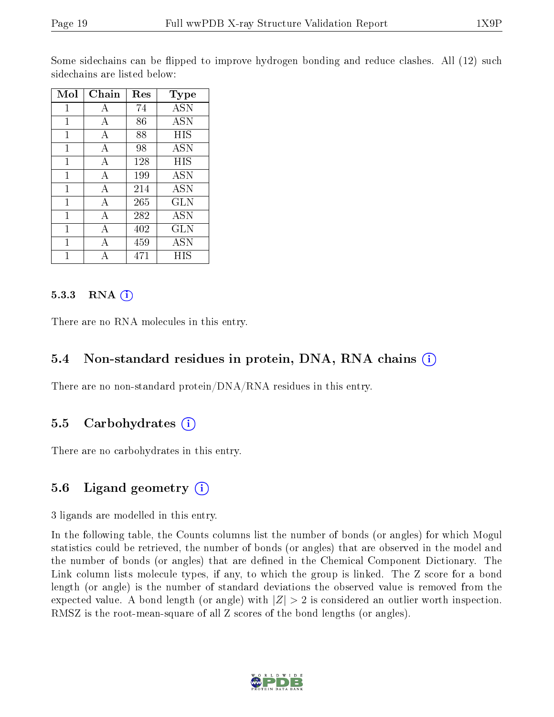Some sidechains can be flipped to improve hydrogen bonding and reduce clashes. All (12) such sidechains are listed below:

| Mol | Chain | Res | <b>Type</b>                        |
|-----|-------|-----|------------------------------------|
| 1   | А     | 74  | <b>ASN</b>                         |
| 1   | А     | 86  | $\overline{\mathrm{A}}\mathrm{SN}$ |
| 1   | А     | 88  | HIS                                |
| 1   | А     | 98  | <b>ASN</b>                         |
| 1   | А     | 128 | <b>HIS</b>                         |
| 1   | А     | 199 | <b>ASN</b>                         |
| 1   | А     | 214 | <b>ASN</b>                         |
| 1   | А     | 265 | <b>GLN</b>                         |
| 1   | А     | 282 | ASN                                |
| 1   | А     | 402 | GLN                                |
| 1   | A     | 459 | ASN                                |
|     |       | 471 | НIS                                |

#### 5.3.3 RNA (1)

There are no RNA molecules in this entry.

#### 5.4 Non-standard residues in protein, DNA, RNA chains (i)

There are no non-standard protein/DNA/RNA residues in this entry.

### 5.5 Carbohydrates (i)

There are no carbohydrates in this entry.

#### 5.6 Ligand geometry  $(i)$

3 ligands are modelled in this entry.

In the following table, the Counts columns list the number of bonds (or angles) for which Mogul statistics could be retrieved, the number of bonds (or angles) that are observed in the model and the number of bonds (or angles) that are defined in the Chemical Component Dictionary. The Link column lists molecule types, if any, to which the group is linked. The Z score for a bond length (or angle) is the number of standard deviations the observed value is removed from the expected value. A bond length (or angle) with  $|Z| > 2$  is considered an outlier worth inspection. RMSZ is the root-mean-square of all Z scores of the bond lengths (or angles).

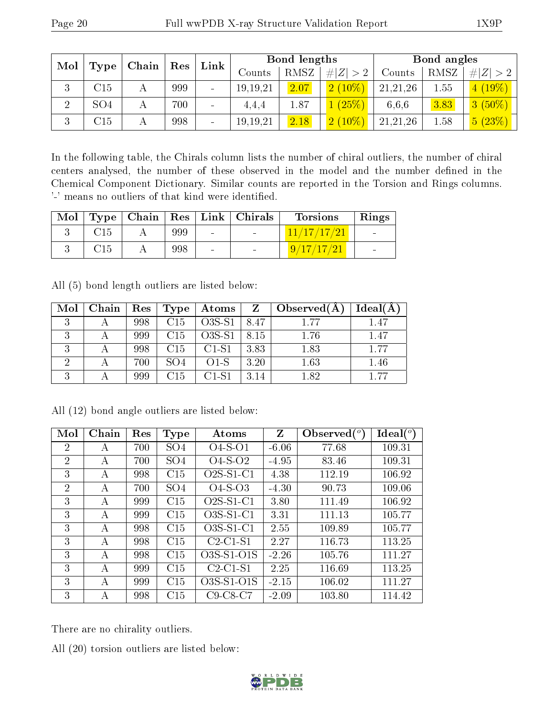| Mol<br>Type | Chain           | $\vert$ Res | Link | Bond lengths    |            |      | Bond angles |          |      |             |
|-------------|-----------------|-------------|------|-----------------|------------|------|-------------|----------|------|-------------|
|             |                 |             |      |                 | Counts     | RMSZ | # $ Z  > 2$ | Counts   | RMSZ | # $ Z  > 2$ |
| ച<br>J.     | C15             |             | 999  | -               | 19, 19, 21 | 2.07 | $2(10\%)$   | 21,21,26 | 1.55 | $4(19\%)$   |
|             | SO <sub>4</sub> |             | 700  |                 | 4.4.4      | 1.87 | (25%)       | 6,6,6    | 3.83 | $3(50\%)$   |
| 3           | C15             |             | 998  | $\qquad \qquad$ | 19, 19, 21 | 2.18 | $2(10\%)$   | 21,21,26 | 1.58 | 5(23%)      |

In the following table, the Chirals column lists the number of chiral outliers, the number of chiral centers analysed, the number of these observed in the model and the number defined in the Chemical Component Dictionary. Similar counts are reported in the Torsion and Rings columns. '-' means no outliers of that kind were identified.

| Mol |  |     |        | Type   Chain   Res   Link   Christmas | <b>Torsions</b> | Rings          |
|-----|--|-----|--------|---------------------------------------|-----------------|----------------|
|     |  | 999 | $\sim$ |                                       | 11/17/17/21     | $\sim$         |
|     |  | 998 | $\sim$ | $\sim$                                | 17/17/21<br>9.  | $\blacksquare$ |

All (5) bond length outliers are listed below:

| Mol | ∣ Chain | Res | Type | $_+$ Atoms | $\mathbf{Z}$ | $\mid$ Observed( $\AA$ | Ideal $(A)$ |
|-----|---------|-----|------|------------|--------------|------------------------|-------------|
| 2   |         | 998 | C15  | $O3S-S1$   | 8.47         | 1 77                   | 1.47        |
|     |         | 999 | C15  | $O3S-S1$   | 8.15         | 1.76                   | 1.47        |
| ച   |         | 998 | C15  | $C1-S1$    | 3.83         | 1.83                   | 1.77        |
|     |         | 700 | SO4  | $O1-S$     | 3.20         | 1.63                   | 1.46        |
| 2   |         | 999 | С15  | $C1-S1$    | 3.14         | 1.82                   | 1.77        |

| Mol            | Chain | Res | <b>Type</b>     | Atoms       | Z       | Observed $\binom{o}{c}$ | $\text{Ideal}({}^o)$ |
|----------------|-------|-----|-----------------|-------------|---------|-------------------------|----------------------|
| 2              | А     | 700 | SO <sub>4</sub> | $O4-S-O1$   | $-6.06$ | 77.68                   | 109.31               |
| $\overline{2}$ | A     | 700 | SO <sub>4</sub> | $O4-S-O2$   | $-4.95$ | 83.46                   | 109.31               |
| 3              | А     | 998 | C15             | $O2S-S1-C1$ | 4.38    | 112.19                  | 106.92               |
| 2              | А     | 700 | SO <sub>4</sub> | $O4-S-O3$   | $-4.30$ | 90.73                   | 109.06               |
| 3              | А     | 999 | C15             | $O2S-S1-C1$ | 3.80    | 111.49                  | 106.92               |
| 3              | А     | 999 | C15             | $O3S-S1-C1$ | 3.31    | 111.13                  | 105.77               |
| 3              | А     | 998 | C15             | $O3S-S1-C1$ | 2.55    | 109.89                  | 105.77               |
| 3              | А     | 998 | C15             | $C2-C1-S1$  | 2.27    | 116.73                  | 113.25               |
| 3              | А     | 998 | C15             | O3S-S1-O1S  | $-2.26$ | 105.76                  | 111.27               |
| 3              | А     | 999 | C15             | $C2-C1-S1$  | 2.25    | 116.69                  | 113.25               |
| 3              | А     | 999 | C15             | O3S-S1-O1S  | $-2.15$ | 106.02                  | 111.27               |
| 3              | А     | 998 | C15             | $C9-C8-C7$  | $-2.09$ | 103.80                  | 114.42               |

All (12) bond angle outliers are listed below:

There are no chirality outliers.

All (20) torsion outliers are listed below:

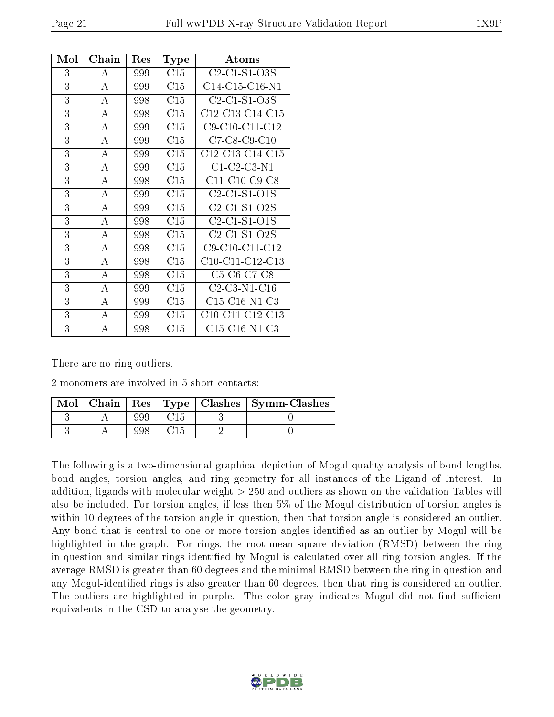| Mol | Chain            | Res | Type | Atoms                                                            |
|-----|------------------|-----|------|------------------------------------------------------------------|
| 3   | А                | 999 | C15  | $C2-C1-S1-O3S$                                                   |
| 3   | $\boldsymbol{A}$ | 999 | C15  | $C14-C15-C16-N1$                                                 |
| 3   | А                | 998 | C15  | $C2-C1-S1-O3S$                                                   |
| 3   | $\boldsymbol{A}$ | 998 | C15  | $C12-C13-C14-C15$                                                |
| 3   | $\bf{A}$         | 999 | C15  | C9-C10-C11-C12                                                   |
| 3   | A                | 999 | C15  | $C7-C8-C9-C10$                                                   |
| 3   | A                | 999 | C15  | $C12-C13-C14-C15$                                                |
| 3   | A                | 999 | C15  | $C1-C2-C3-N1$                                                    |
| 3   | A                | 998 | C15  | C11-C10-C9-C8                                                    |
| 3   | А                | 999 | C15  | $C2-C1-S1-O1S$                                                   |
| 3   | A                | 999 | C15  | $C2-C1-S1-O2S$                                                   |
| 3   | А                | 998 | C15  | C <sub>2</sub> -C <sub>1</sub> -S <sub>1</sub> -O <sub>1</sub> S |
| 3   | $\boldsymbol{A}$ | 998 | C15  | C <sub>2</sub> -C <sub>1</sub> -S <sub>1</sub> -O <sub>2</sub> S |
| 3   | А                | 998 | C15  | C9-C10-C11-C12                                                   |
| 3   | $\boldsymbol{A}$ | 998 | C15  | $C10-C11-C12-C13$                                                |
| 3   | A                | 998 | C15  | C5-C6-C7-C8                                                      |
| 3   | А                | 999 | C15  | $C2-C3-N1-C16$                                                   |
| 3   | A                | 999 | C15  | $C15-C16-N1-C3$                                                  |
| 3   | А                | 999 | C15  | $C10-C11-C12-C13$                                                |
| 3   | A                | 998 | C15  | $C15-C16-N1-C3$                                                  |

There are no ring outliers.

2 monomers are involved in 5 short contacts:

| Mol | Chain |     |  | Res   Type   Clashes   Symm-Clashes |
|-----|-------|-----|--|-------------------------------------|
|     |       | 999 |  |                                     |
|     |       |     |  |                                     |

The following is a two-dimensional graphical depiction of Mogul quality analysis of bond lengths, bond angles, torsion angles, and ring geometry for all instances of the Ligand of Interest. In addition, ligands with molecular weight > 250 and outliers as shown on the validation Tables will also be included. For torsion angles, if less then 5% of the Mogul distribution of torsion angles is within 10 degrees of the torsion angle in question, then that torsion angle is considered an outlier. Any bond that is central to one or more torsion angles identified as an outlier by Mogul will be highlighted in the graph. For rings, the root-mean-square deviation (RMSD) between the ring in question and similar rings identified by Mogul is calculated over all ring torsion angles. If the average RMSD is greater than 60 degrees and the minimal RMSD between the ring in question and any Mogul-identified rings is also greater than 60 degrees, then that ring is considered an outlier. The outliers are highlighted in purple. The color gray indicates Mogul did not find sufficient equivalents in the CSD to analyse the geometry.

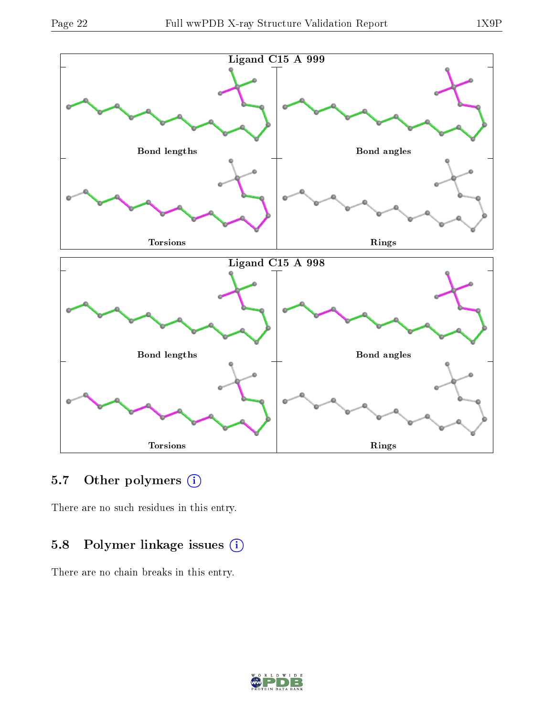

### 5.7 [O](https://www.wwpdb.org/validation/2017/XrayValidationReportHelp#nonstandard_residues_and_ligands)ther polymers (i)

There are no such residues in this entry.

## 5.8 Polymer linkage issues (i)

There are no chain breaks in this entry.

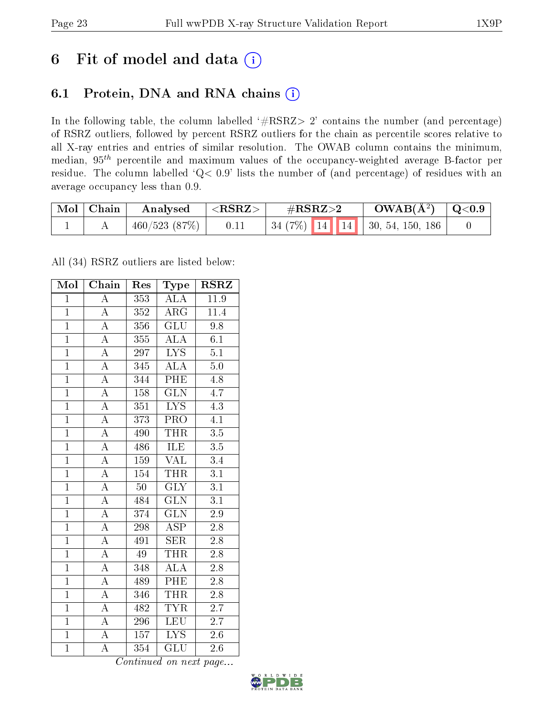## 6 Fit of model and data  $(i)$

### 6.1 Protein, DNA and RNA chains  $(i)$

In the following table, the column labelled  $#RSRZ> 2'$  contains the number (and percentage) of RSRZ outliers, followed by percent RSRZ outliers for the chain as percentile scores relative to all X-ray entries and entries of similar resolution. The OWAB column contains the minimum, median,  $95<sup>th</sup>$  percentile and maximum values of the occupancy-weighted average B-factor per residue. The column labelled ' $Q< 0.9$ ' lists the number of (and percentage) of residues with an average occupancy less than 0.9.

| $\text{Mol}$ | $\mid$ Chain | Analysed     | ${ <\hspace{-1.5pt}{\mathrm{RSRZ}} \hspace{-1.5pt}>}$ | $\#\text{RSRZ}\text{>2}$                       | $OWAB(A^2)$ | $\mid$ Q<0.9 |
|--------------|--------------|--------------|-------------------------------------------------------|------------------------------------------------|-------------|--------------|
|              |              | 460/523(87%) |                                                       | $+34(7\%)$ 14 14 30, 54, 150, 186 <sup>+</sup> |             |              |

All (34) RSRZ outliers are listed below:

| Mol            | $\overline{\text{Chain}}$ | Res             | Type                    | <b>RSRZ</b>      |
|----------------|---------------------------|-----------------|-------------------------|------------------|
| $\mathbf{1}$   | $\overline{\rm A}$        | 353             | <b>ALA</b>              | 11.9             |
| $\overline{1}$ | $\overline{\rm A}$        | 352             | $\rm{ARG}$              | 11.4             |
| $\overline{1}$ | $\overline{\rm A}$        | 356             | $\overline{\text{GLU}}$ | 9.8              |
| $\mathbf{1}$   | $\overline{A}$            | 355             | <b>ALA</b>              | 6.1              |
| $\overline{1}$ | $\overline{A}$            | 297             | $\overline{\text{LYS}}$ | $\overline{5.1}$ |
| $\mathbf{1}$   | $\overline{\rm A}$        | 345             | ALA                     | 5.0              |
| $\overline{1}$ | $\overline{A}$            | 344             | $\overline{\rm{PHE}}$   | $4.\overline{8}$ |
| $\overline{1}$ | $\overline{A}$            | 158             | $\overline{\text{GLN}}$ | 4.7              |
| $\mathbf{1}$   | $\overline{A}$            | 351             | $\overline{\text{LYS}}$ | $\overline{4.3}$ |
| $\overline{1}$ | $\overline{A}$            | 373             | PRO                     | $\overline{4.1}$ |
| $\overline{1}$ | $\overline{\rm A}$        | 490             | <b>THR</b>              | $\overline{3.5}$ |
| $\overline{1}$ | $\overline{A}$            | 486             | <b>ILE</b>              | $\overline{3.5}$ |
| $\overline{1}$ | $\overline{A}$            | 159             | <b>VAL</b>              | 3.4              |
| $\overline{1}$ | $\overline{\rm A}$        | 154             | <b>THR</b>              | $\overline{3.1}$ |
| $\overline{1}$ | $\overline{A}$            | $\overline{50}$ | $\overline{\text{GLY}}$ | $\overline{3.1}$ |
| $\mathbf{1}$   | $\overline{A}$            | 484             | <b>GLN</b>              | $\overline{3.1}$ |
| $\overline{1}$ | $\overline{\rm A}$        | 374             | $\overline{\text{GLN}}$ | $2.9\,$          |
| $\mathbf{1}$   | $\overline{\rm A}$        | 298             | <b>ASP</b>              | $2.8\,$          |
| $\overline{1}$ | $\overline{\rm A}$        | 491             | <b>SER</b>              | $\overline{2.8}$ |
| $\overline{1}$ | $\overline{\rm A}$        | 49              | THR                     | 2.8              |
| $\mathbf{1}$   | $\overline{A}$            | 348             | <b>ALA</b>              | 2.8              |
| $\overline{1}$ | $\overline{\rm A}$        | 489             | <b>PHE</b>              | $\overline{2.8}$ |
| $\mathbf{1}$   | $\overline{\rm A}$        | 346             | <b>THR</b>              | 2.8              |
| $\overline{1}$ | $\overline{\rm A}$        | 482             | <b>TYR</b>              | $2.\overline{7}$ |
| $\overline{1}$ | $\overline{A}$            | 296             | <b>LEU</b>              | 2.7              |
| $\overline{1}$ | $\overline{\rm A}$        | 157             | $\overline{\text{LYS}}$ | $2.6\,$          |
| $\overline{1}$ | $\overline{\rm A}$        | 354             | $\overline{{\rm GLU}}$  | 2.6              |

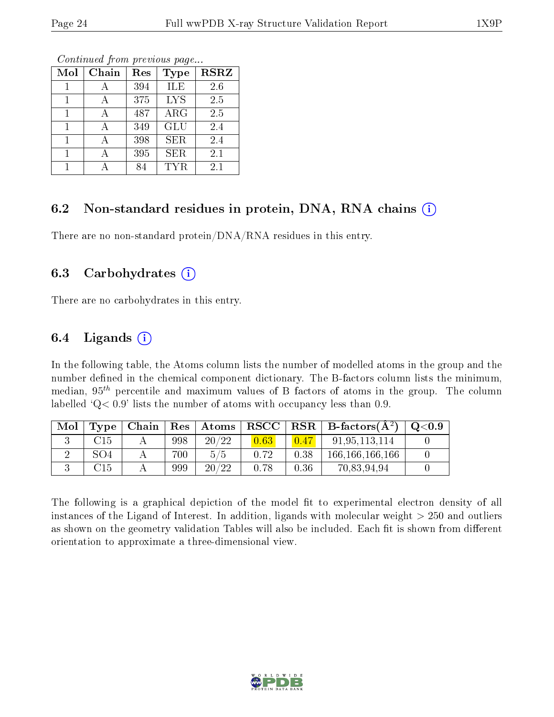| Mol | Chain | Res | Type       | <b>RSRZ</b> |
|-----|-------|-----|------------|-------------|
|     |       | 394 | ILE        | 2.6         |
|     |       | 375 | <b>LYS</b> | 2.5         |
| 1   |       | 487 | ARG        | 2.5         |
|     |       | 349 | GLU        | 2.4         |
| 1   |       | 398 | <b>SER</b> | 2.4         |
|     |       | 395 | <b>SER</b> | 2.1         |
|     |       | 84  | <b>TYR</b> | 2.1         |

### 6.2 Non-standard residues in protein, DNA, RNA chains  $(i)$

There are no non-standard protein/DNA/RNA residues in this entry.

#### 6.3 Carbohydrates  $(i)$

There are no carbohydrates in this entry.

#### 6.4 Ligands  $(i)$

In the following table, the Atoms column lists the number of modelled atoms in the group and the number defined in the chemical component dictionary. The B-factors column lists the minimum, median,  $95<sup>th</sup>$  percentile and maximum values of B factors of atoms in the group. The column labelled  $Q < 0.9$ ' lists the number of atoms with occupancy less than 0.9.

| Mol | Type           | Chain | $\operatorname{Res}$ | Atoms | ${\bf RSCC}$ |      | $RSR   B-factors(A^2)$ | Q <sub>0.9</sub> |
|-----|----------------|-------|----------------------|-------|--------------|------|------------------------|------------------|
|     | $\mathbb{C}15$ |       | 998                  | 20/22 | 0.63         | 0.47 | 91,95,113,114          |                  |
|     | SO4            |       | 700                  | 5/5   | 0.72         | 0.38 | 166,166,166,166        |                  |
|     | C15            |       | 999                  | 20/22 |              | 0.36 | 70,83,94,94            |                  |

The following is a graphical depiction of the model fit to experimental electron density of all instances of the Ligand of Interest. In addition, ligands with molecular weight  $> 250$  and outliers as shown on the geometry validation Tables will also be included. Each fit is shown from different orientation to approximate a three-dimensional view.

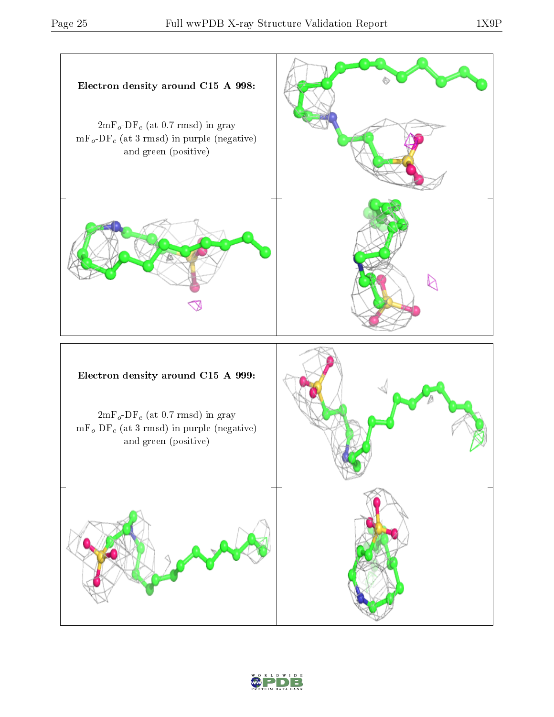